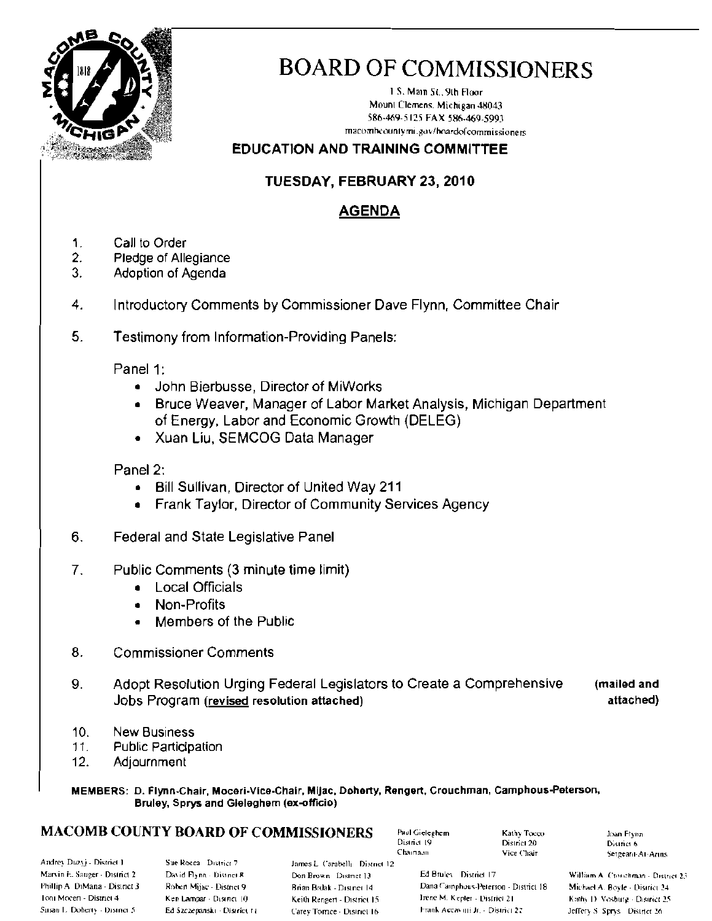

## **BOARD OF COMMISSIONERS**

1 S. Main St., 9th Floor Mount Clemens, Michigan 48043 586-469-5125 FAX 586-469-5993 macombcountymi.gov/boardofcommissioners

#### **EDUCATION AND TRAINING COMMITTEE**

#### TUESDAY, FEBRUARY 23, 2010

#### **AGENDA**

- 1. Call to Order
- 2. Pledge of Allegiance
- 3. Adoption of Agenda
- 4. Introductory Comments by Commissioner Dave Flynn, Committee Chair
- 5. Testimony from Information-Providing Panels:

Panel 1:

- John Bierbusse, Director of MiWorks
- Bruce Weaver, Manager of Labor Market Analysis, Michigan Department of Energy, Labor and Economic Growth (DELEG)
- Xuan Liu, SEMCOG Data Manager

#### Panel 2:

- Bill Sullivan, Director of United Way 211
- Frank Taylor, Director of Community Services Agency
- Federal and State Legislative Panel 6.
- $7<sub>1</sub>$ Public Comments (3 minute time limit)
	- **Local Officials**  $\bullet$
	- Non-Profits
	- Members of the Public
- 8. **Commissioner Comments**
- 9. Adopt Resolution Urging Federal Legislators to Create a Comprehensive (mailed and Jobs Program (revised resolution attached) attached)
- $10<sub>1</sub>$ **New Business**
- $11.$ **Public Participation**
- $12.$ Adjournment

MEMBERS: D. Flynn-Chair, Moceri-Vice-Chair, Mijac, Doherty, Rengert, Crouchman, Camphous-Peterson, Bruley, Sprys and Gieleghem (ex-officio)

#### **MACOMB COUNTY BOARD OF COMMISSIONERS**

Paul Gieleghem District 19 Chairman

Kathy Tocco District 20 Vice Chair

**Joan Flynn** District 6 Sergeant-At-Arms

Andrey Duzyj - District 1 Marvin F. Sauger - District 2 Phillip A. DiMana - District 3 Ioni Mocen - District 4 Susan L. Doherty - District 5

Sue Rocca District 7 David Flynn - District R Robert Mijae - District 9 Ken Lampar - Disinci 10 Ed Szczepanski - District 11 James L. Carabelli District 12 Don Brown District 13 Brian Brdak - District 14 Keith Rengert - District 15 Carey Torrice - District 16

Ed Bruley District 17 Dana Camphous-Peterson - District 18 Irene M. Kepler - District 21 Frank Accavitti Jr. - District 22

William A. Cronchman - District 23. Michael A. Boyle - District 24 Kathy D. Vosburg - District 25 Jeffery S. Sprys District 26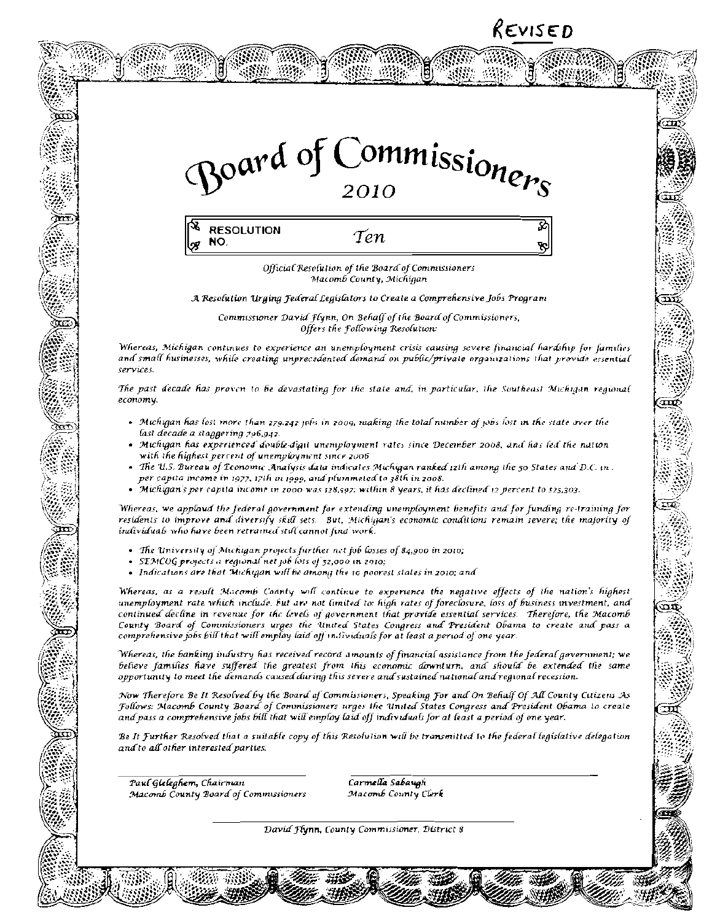### REVISED

 $\overline{\text{min}}$ 





Official Resolution of the Board of Commissioners Macomb County, Michigan

A Resolution Urging Federal Legislators to Create a Comprehensive Jobs Program

Commissioner David Flynn, On Behalf of the Board of Commissioners, Offers the Following Resolution:

Whereas, Michigan continues to experience an unemployment crisis causing severe financial hardship for families and small husinesses, while creating unprecedented demand on public/private organizations that provide essential services.

The past decade has proven to be devastating for the state and, in particular, the Southeast Michigan regional economy.

- . Michigan has lost more than 279.242 jobs in 2009, making the total number of jobs lost in the state over the last decade a staggering 796,942.
- Michigan has experienced double-digit unemployment rates since December 2008, and has led the nation with the highest percent of unemployment since 2006.
- The U.S. Bureau of Teonomu: Analysis data indicates Michigan ranked 12th among the 50 States and D.C. in. per capita income in 1977, 17th in 1999, and plummeted to 38th in 2008.
- Michigan's per capita income in 2000 was 128,597; within 8 years, it has declined 12 percent to 125,303.

Whereas, we applaud the federal government for extending unemployment benefits and for funding re-training for residents to improve and diversify skill sets. But, Michigan's economic conditions remain severe; the majority of individuals who have been retrained still cannot find work.

- The University of Michigan projects further net fob losses of 84,900 in 2010;
- SEMCOG projects a regional net job loss of 52,000 in 2010;  $\,$
- Indications are that Michigan will be among the to poorest states in 2010; and

Whereas, as a result Macamb Coanty will continue to experience the negative effects of the nation's highest unemployment rate which include, but are not limited to: high rates of foreclosure, loss of business mvestment, and continued decline in revenue for the levels of government that provide essential services. Therefore, the Macomb County Board of Commissioners urges the United States Congress and President Obama to create and pass a comprehensive jobs bill that will employ laid off individuals for at least a period of one year.

Whereas, the banking industry has received record amounts of financial assistance from the federal government; we believe families have suffered the greatest from this economic downturn, and should be extended the same opportunity to meet the demands caused during this severe and sustained national and regional recession.

Now Therefore Be It Resolved by the Board af Commissioners, Speaking For and On Behalf Of All County Cuizens As Follows: Macomb County Board of Commissioners urges the United States Congress and President Obama to create and pass a comprehensive jobs bill that will employ laid off individuals for at least a period of one year.

Be It Further Resolved that a suitable copy of this Resolution will be transmitted to the federal legislative delegation and to all other interested parties.

Paul Gleleghem, Chairman Macomb County Board of Commissioners

स्ट

Carmella Sabaugh Macomb County Clerk

David Hynn, County Commissioner, District 8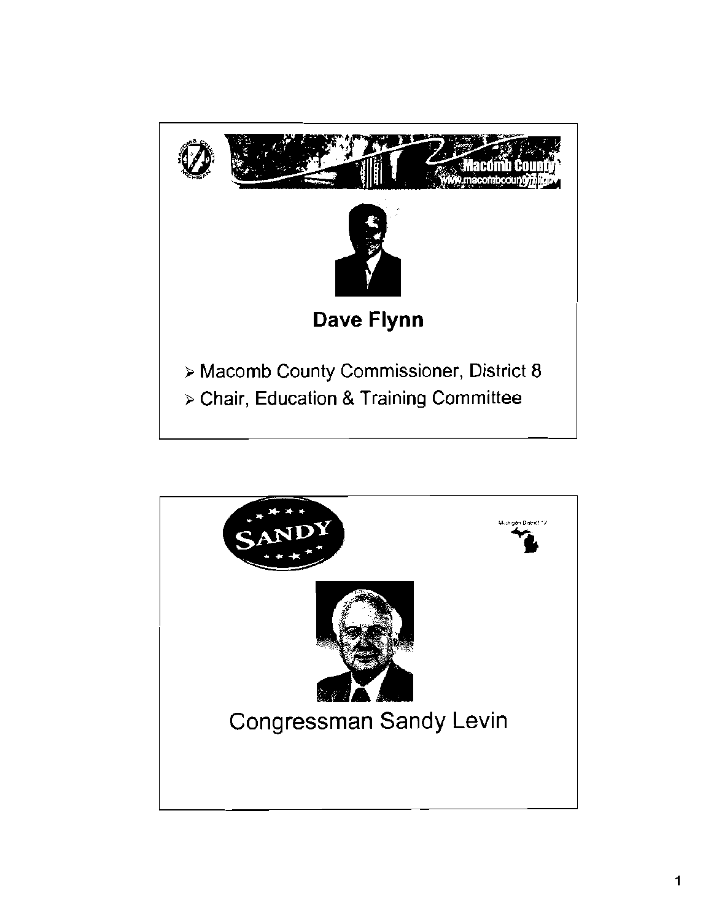

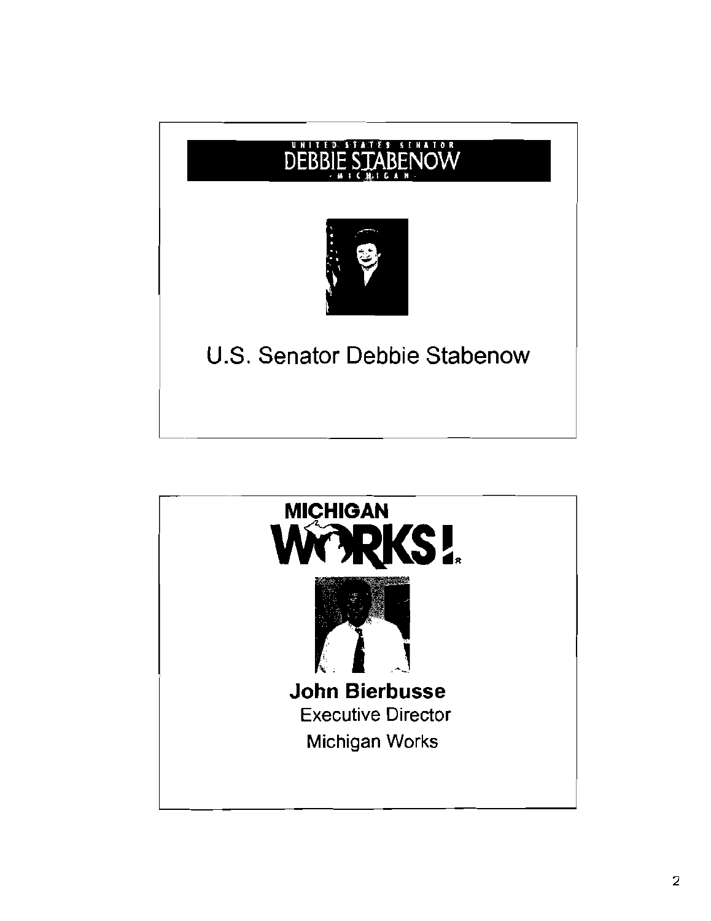

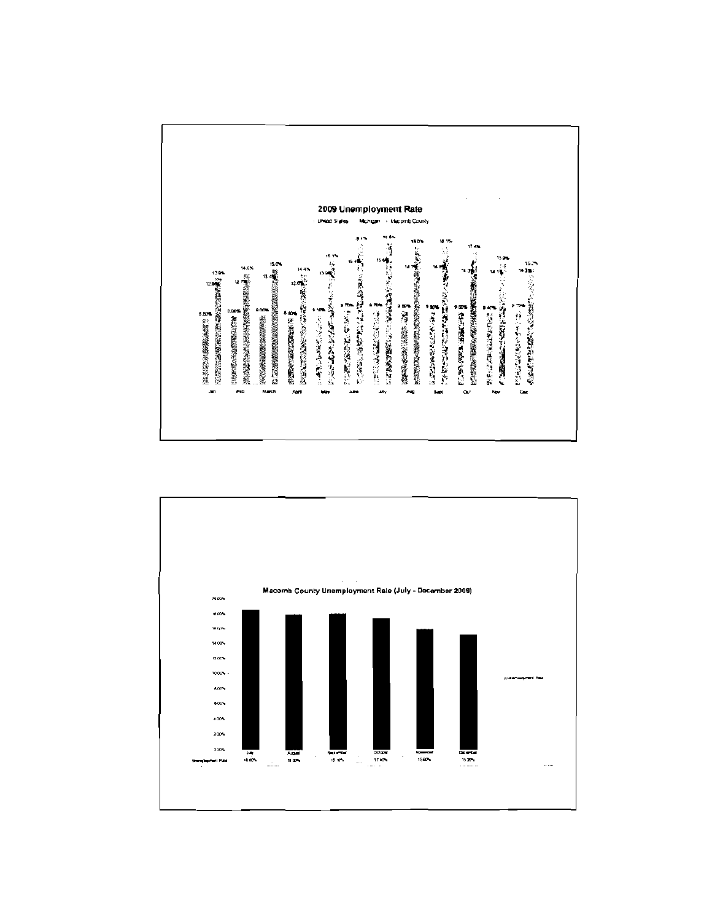

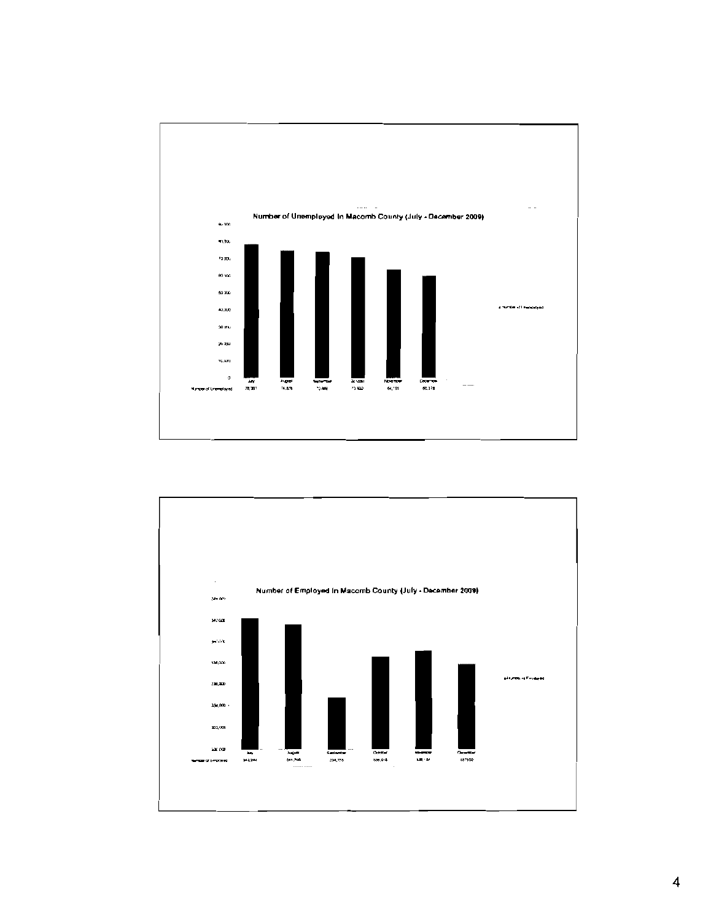

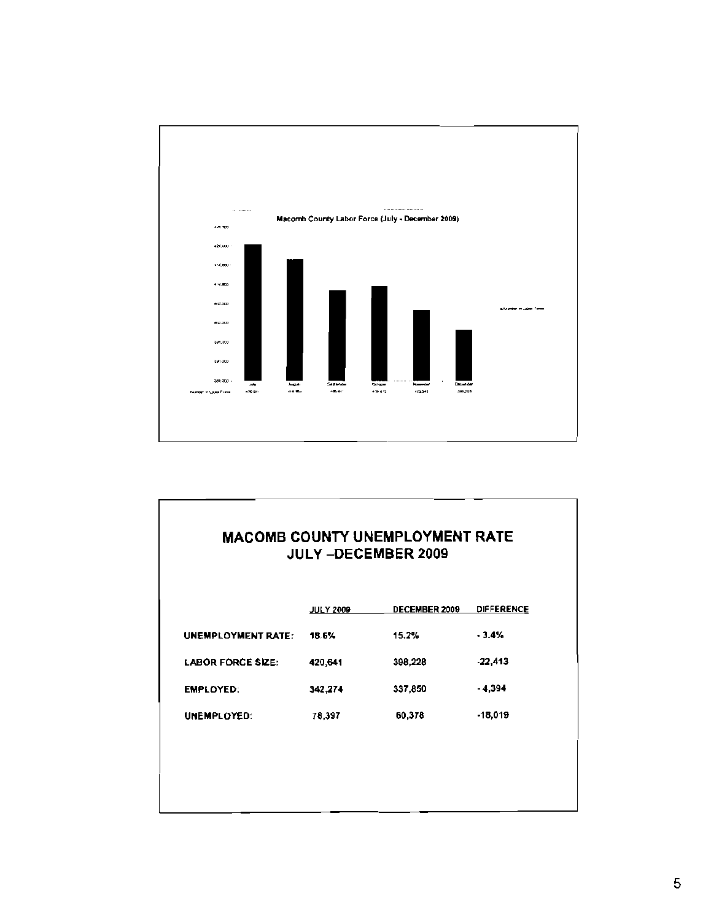

|                          | <b>JULY 2009</b> | DECEMBER 2009 | <b>DIFFERENCE</b> |
|--------------------------|------------------|---------------|-------------------|
| UNEMPLOYMENT RATE:       | 18.6%            | 15.2%         | $-3.4%$           |
| <b>LABOR FORCE SIZE:</b> | 420,641          | 398,228       | $-22,413$         |
| <b>EMPLOYED:</b>         | 342,274          | 337,850       | $-4.394$          |
| UNEMPLOYED:              | 78,397           | 60,378        | $-18,019$         |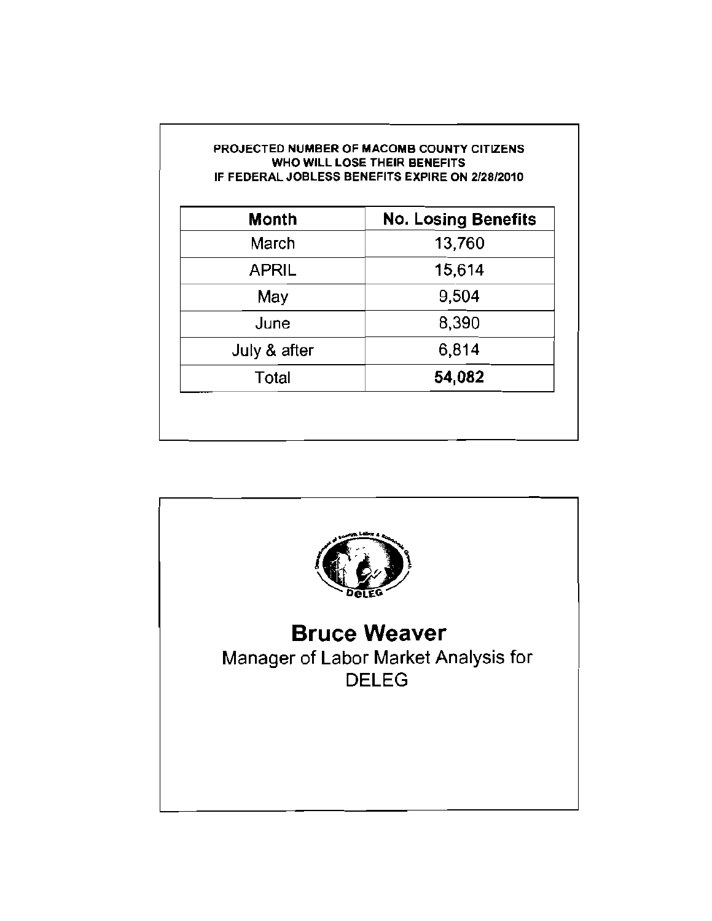| <b>Month</b> | <b>No. Losing Benefits</b> |
|--------------|----------------------------|
| March        | 13,760                     |
| <b>APRIL</b> | 15,614                     |
| May          | 9,504                      |
| June         | 8,390                      |
| July & after | 6,814                      |
| Total        | 54,082                     |

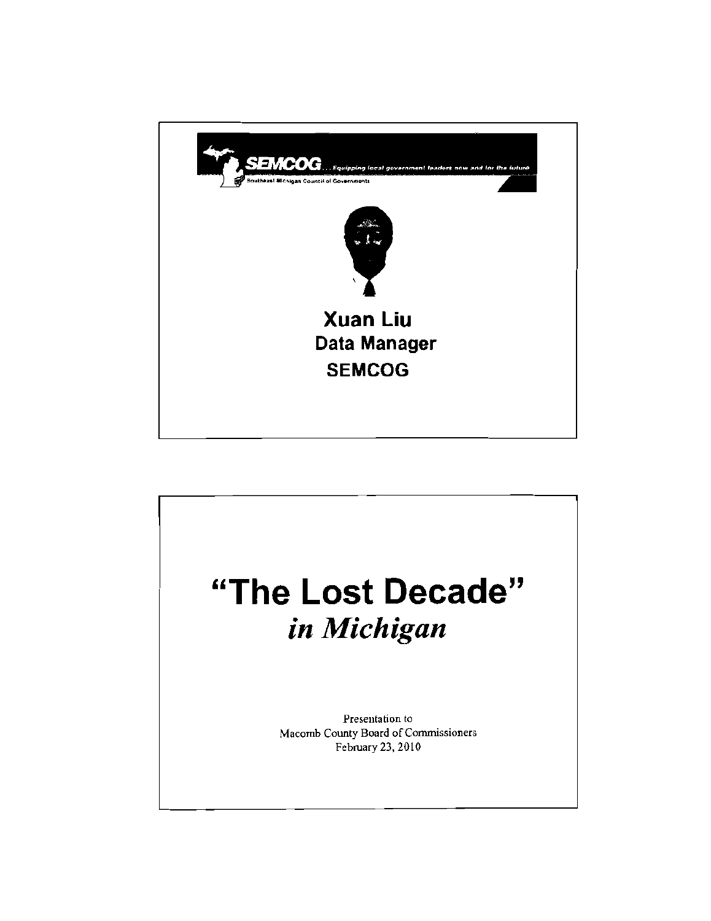

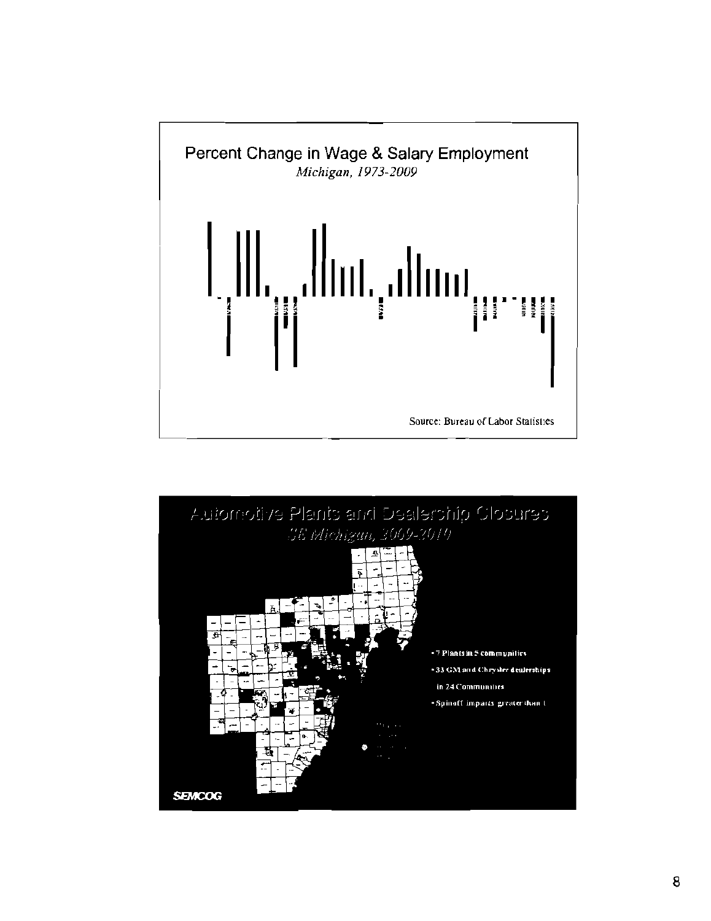

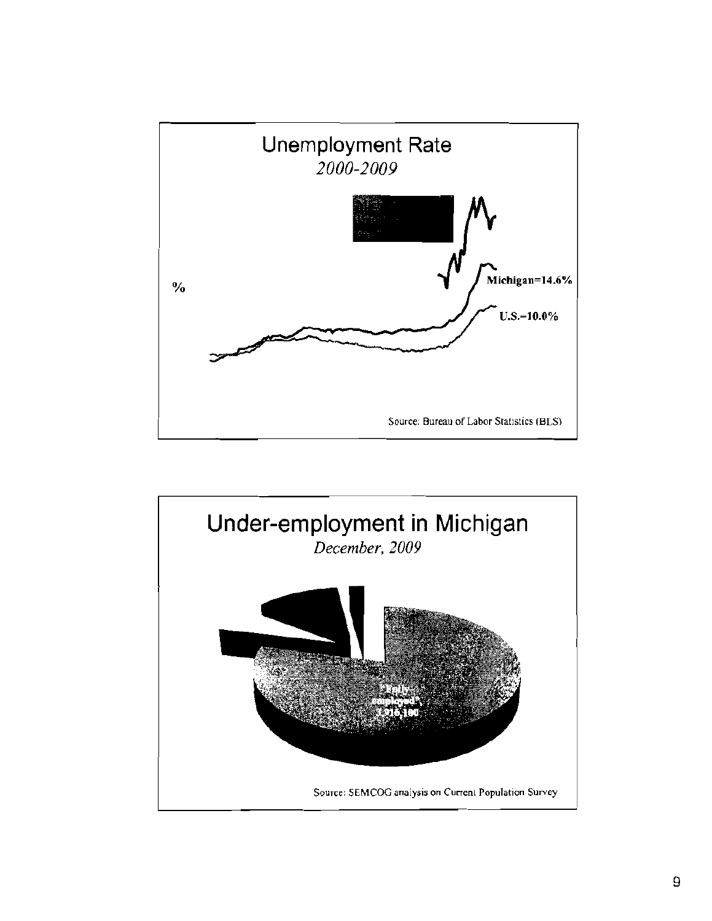

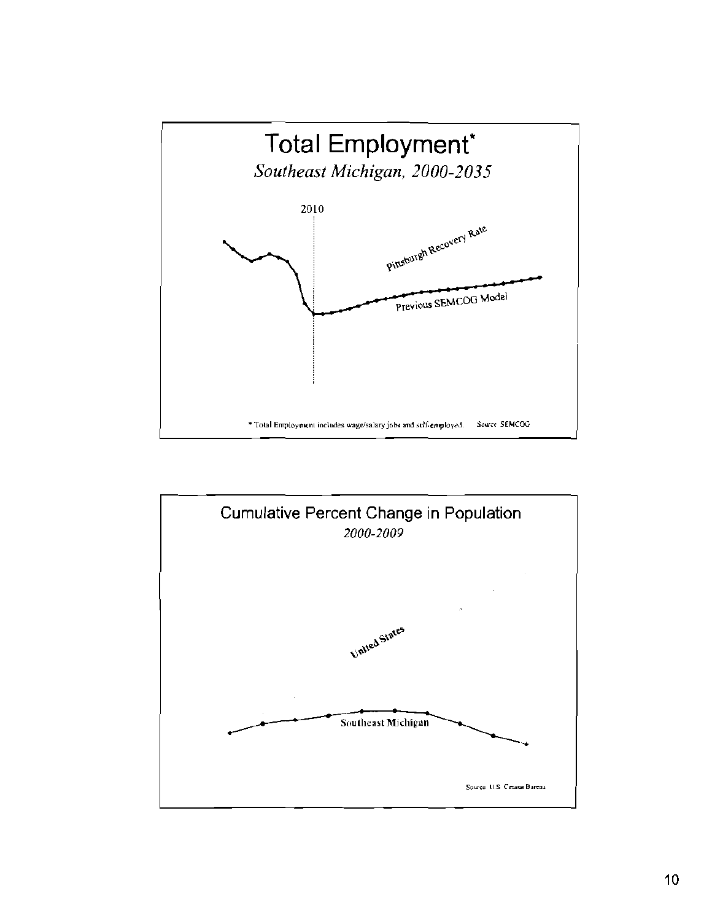

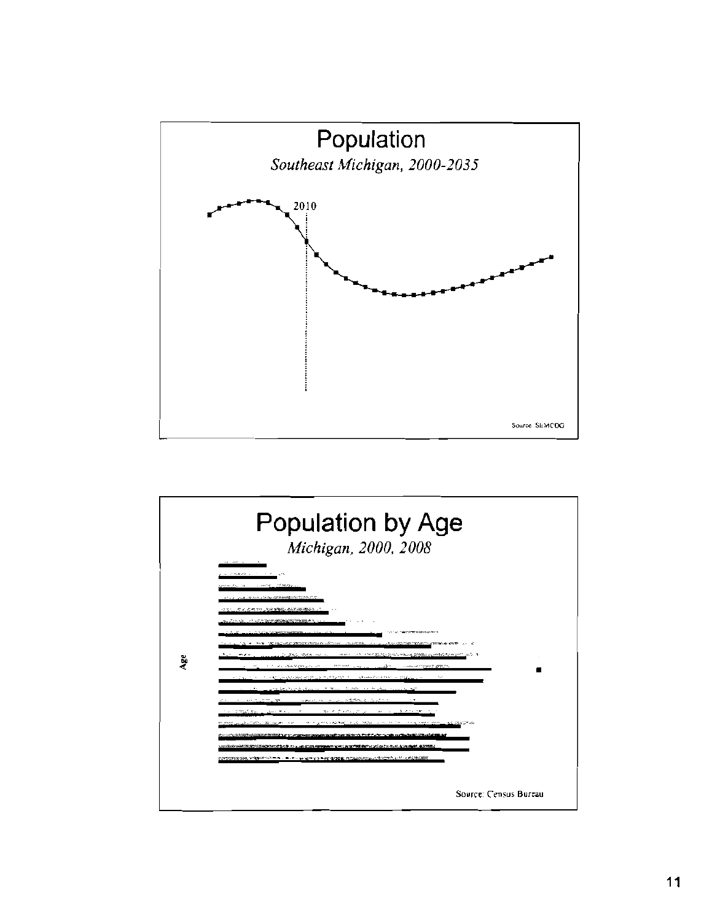

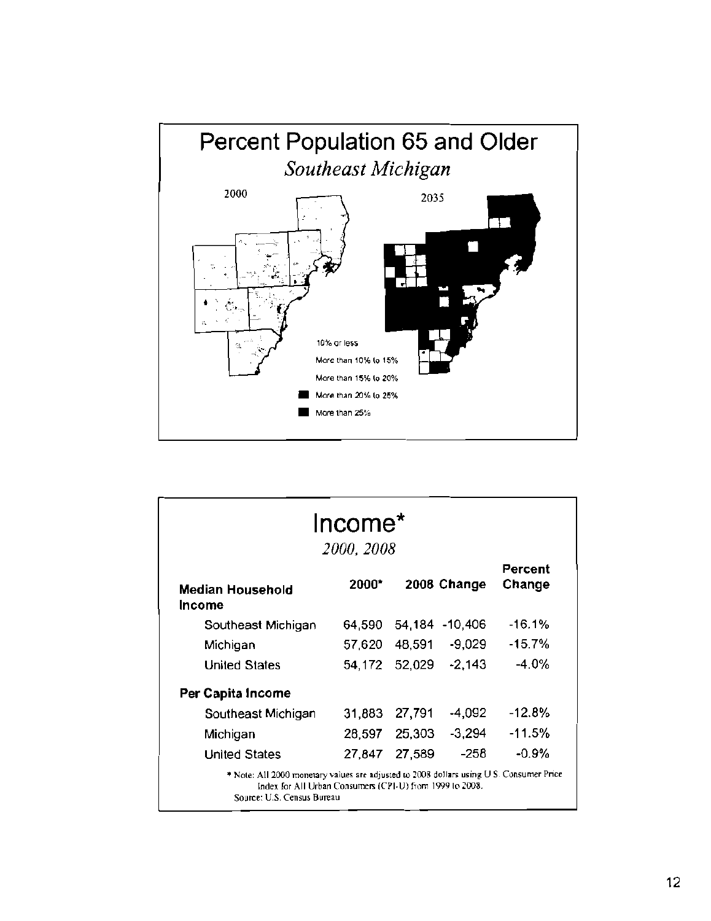

|                                                                                                                                                                                   | Income <sup>*</sup><br>2000, 2008 |        |                |                   |
|-----------------------------------------------------------------------------------------------------------------------------------------------------------------------------------|-----------------------------------|--------|----------------|-------------------|
| Median Household<br>Income                                                                                                                                                        | 2000*                             |        | 2008 Change    | Percent<br>Change |
| Southeast Michigan                                                                                                                                                                | 64.590                            |        | 54,184 -10,406 | $-16.1%$          |
| Michigan                                                                                                                                                                          | 57,620                            | 48,591 | -9,029         | $-15.7%$          |
| <b>United States</b>                                                                                                                                                              | 54,172                            | 52,029 | $-2,143$       | -4.0%             |
| Per Capita Income                                                                                                                                                                 |                                   |        |                |                   |
| Southeast Michigan                                                                                                                                                                | 31,883                            | 27,791 | -4,092         | $-12.8%$          |
| Michigan                                                                                                                                                                          | 28,597                            | 25,303 | $-3,294$       | -11.5%            |
| <b>United States</b>                                                                                                                                                              | 27.847                            | 27,589 | -258           | $-0.9%$           |
| * Note: All 2000 monetary values are adjusted to 2008 dollars using U.S. Consumer Price<br>Index for All Urban Consumers (CPI-U) from 1999 to 2008.<br>Source: U.S. Census Bureau |                                   |        |                |                   |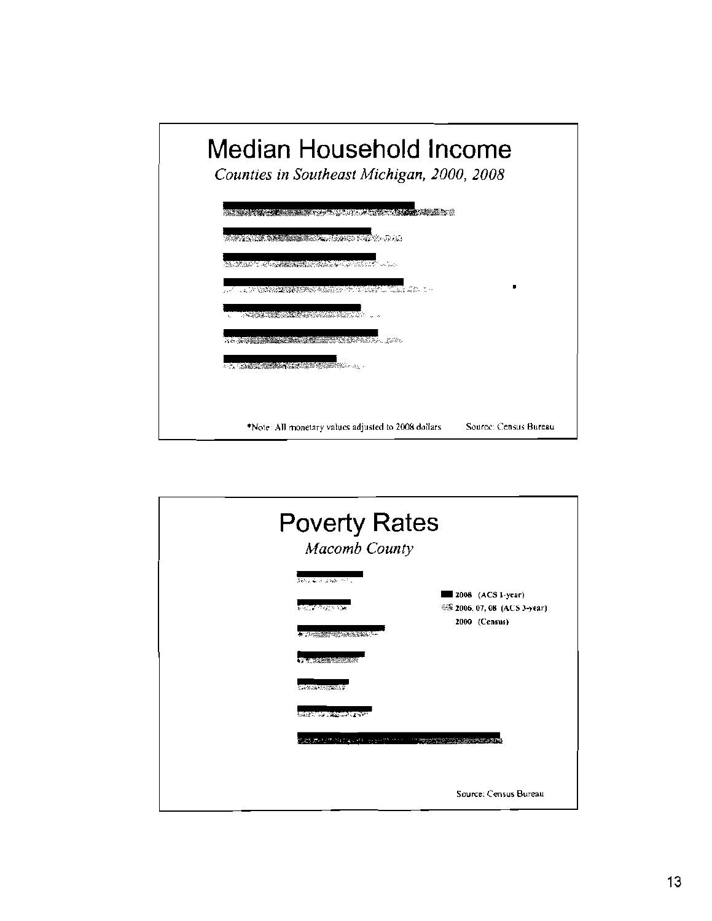

| <b>Poverty Rates</b><br><b>Macomb County</b>                                     |                                                                 |
|----------------------------------------------------------------------------------|-----------------------------------------------------------------|
| Several days in the<br>মন্ত্ <i>র উপ</i> ে এছ<br><b>A SERVICE AND A PROPERTY</b> | 2008 (ACS 1-year)<br>2006, 07, 08 (ACS 3-year)<br>2000 (Census) |
| <b>ASSESSMENT ROOM</b><br><b>CANGE COUNSES</b><br><b>Common Common Career</b>    |                                                                 |
| 网络猪 网络美国阿拉伯 医神经炎 计数据 人名英格兰姓氏 计相对性                                                | Source: Census Bureau                                           |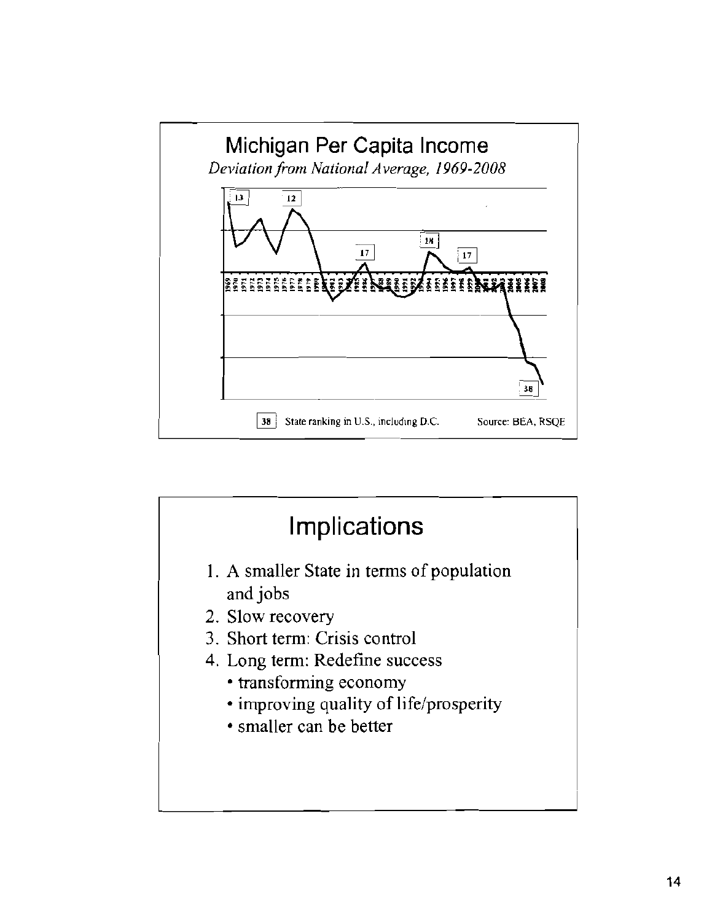

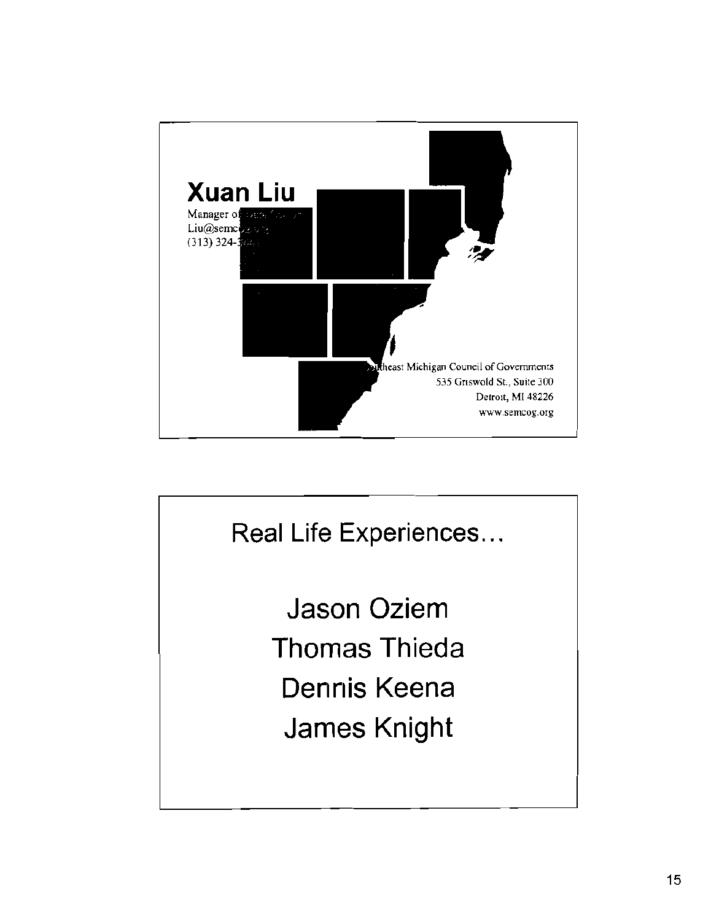

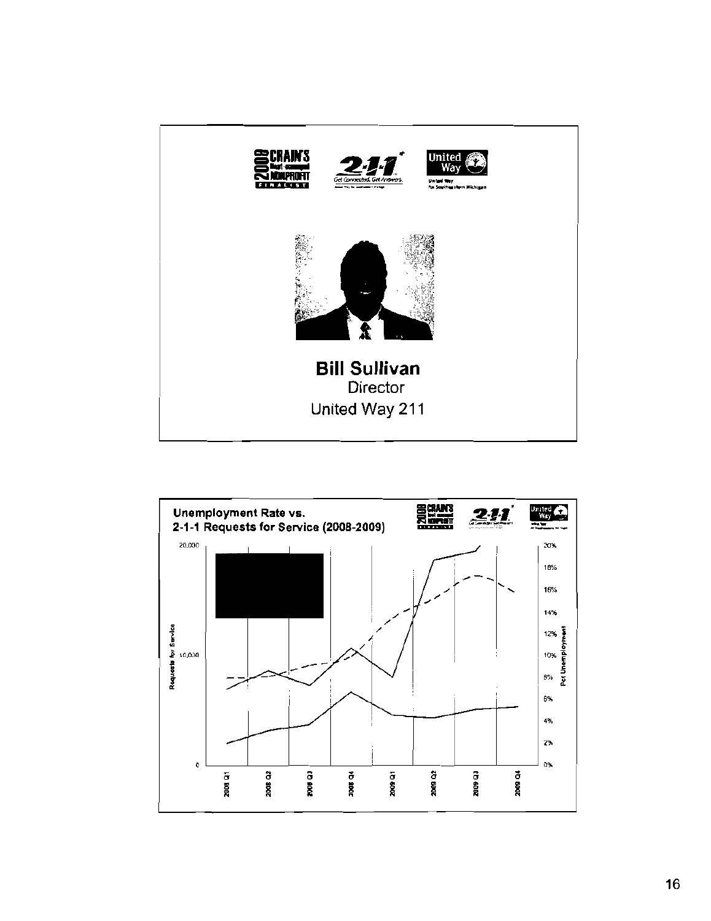

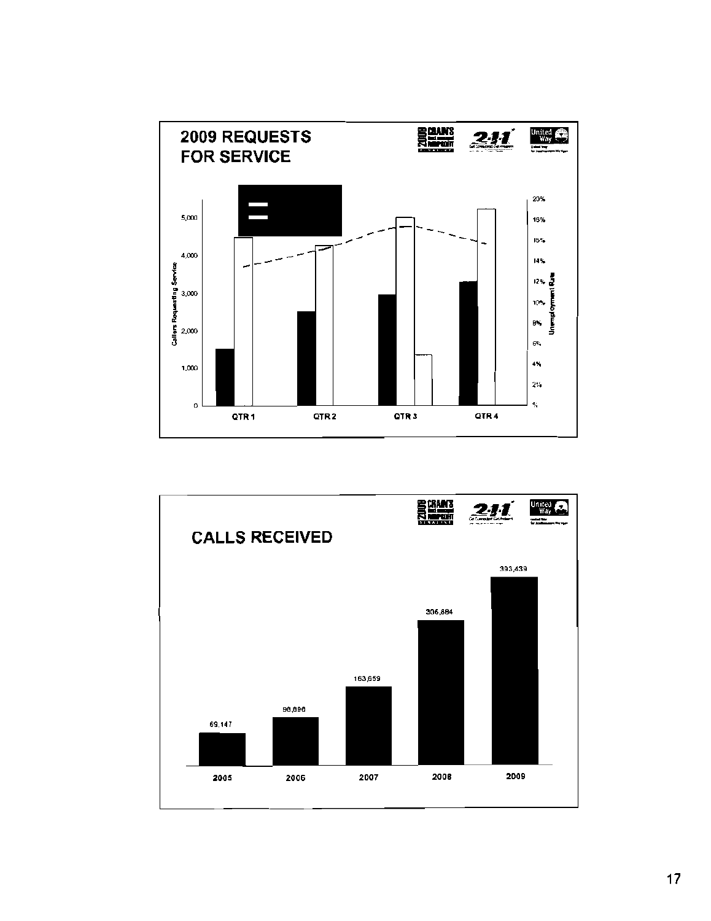

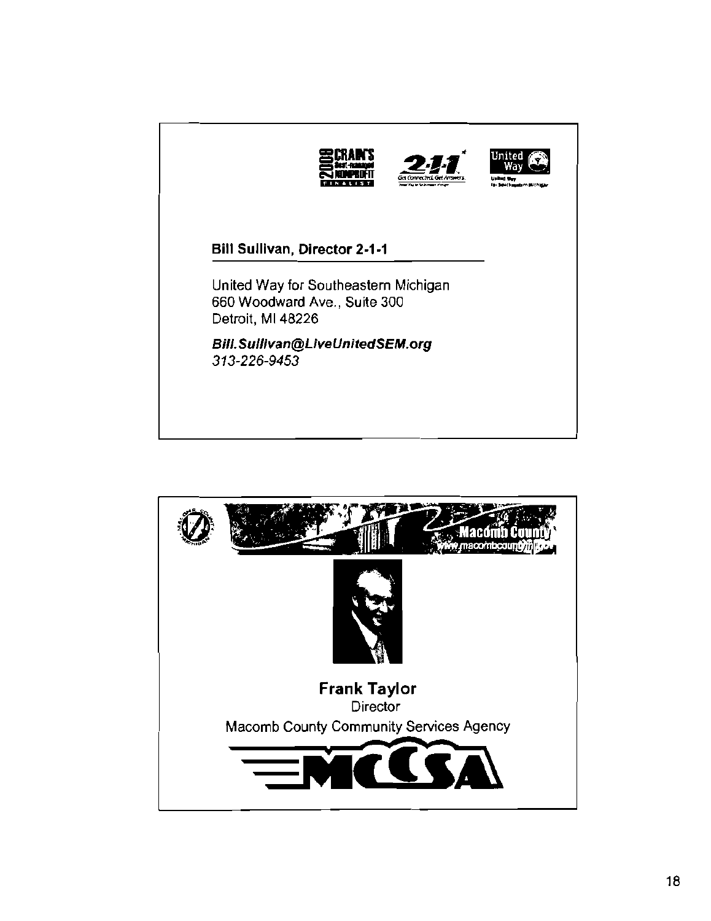

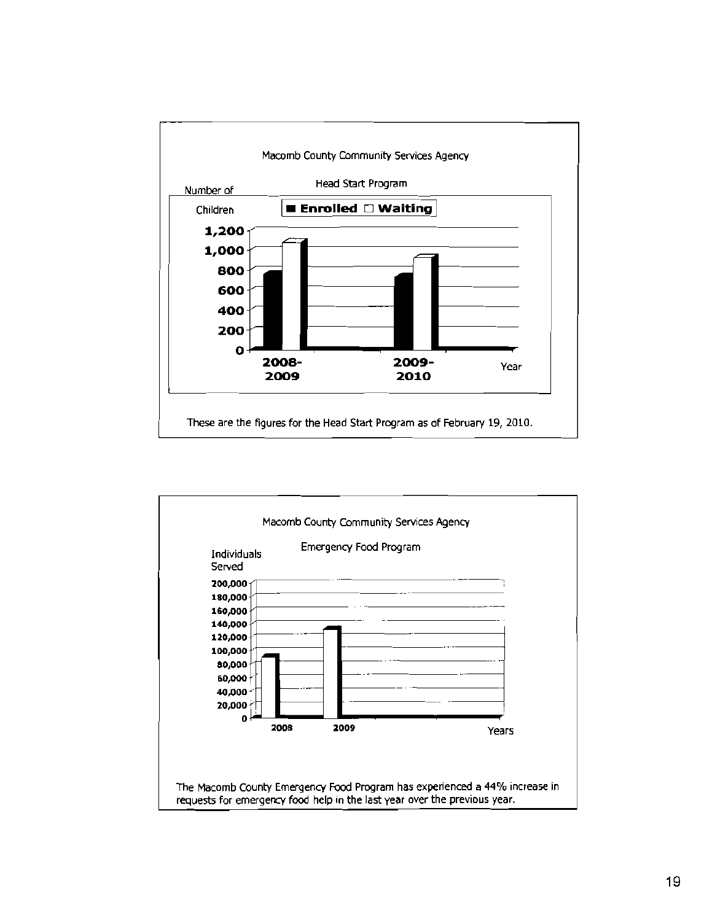

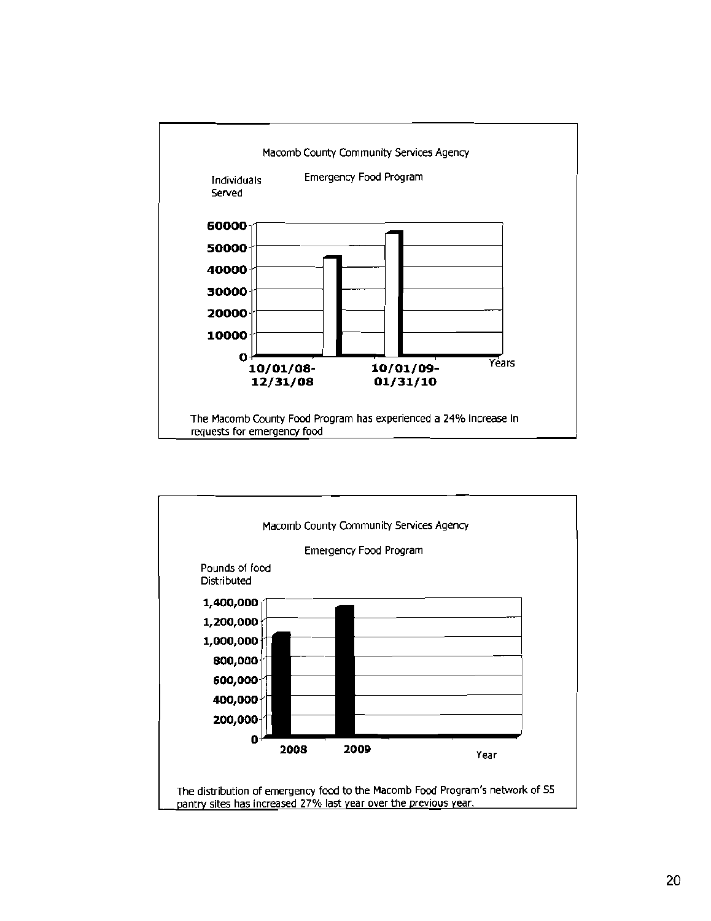

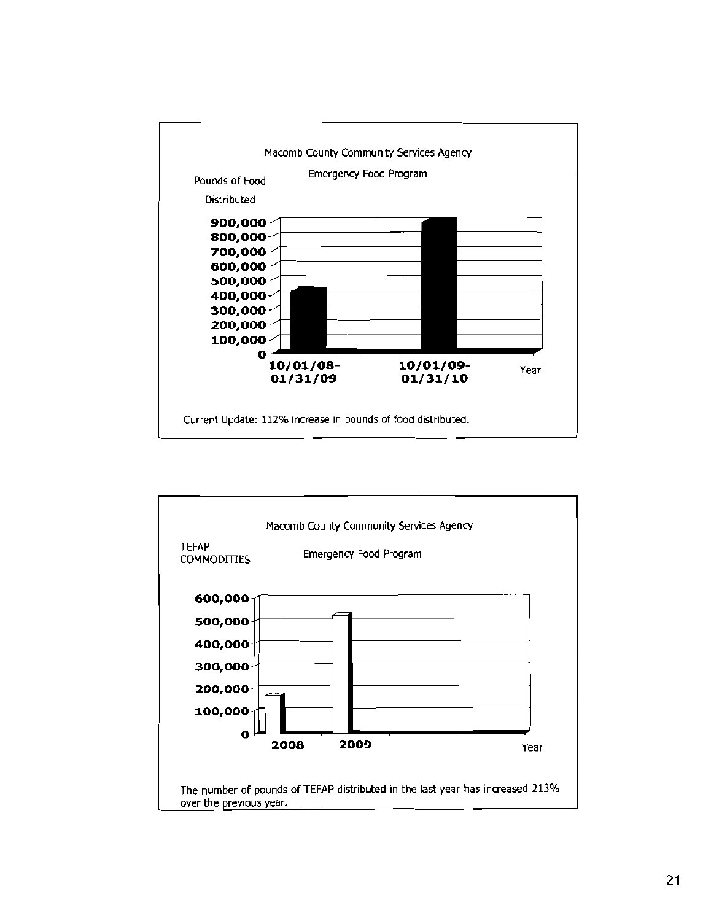

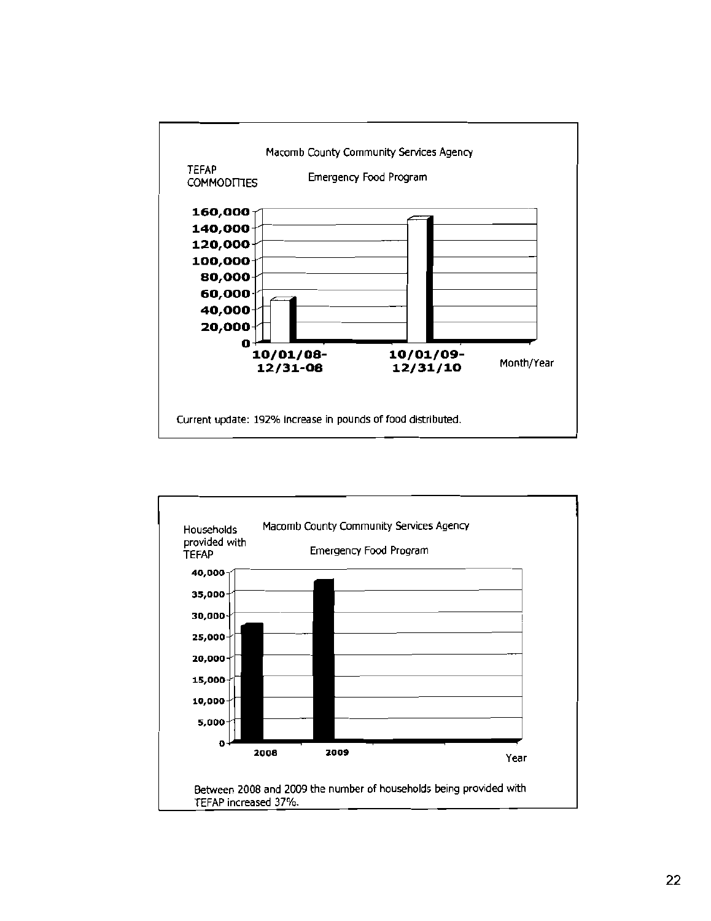

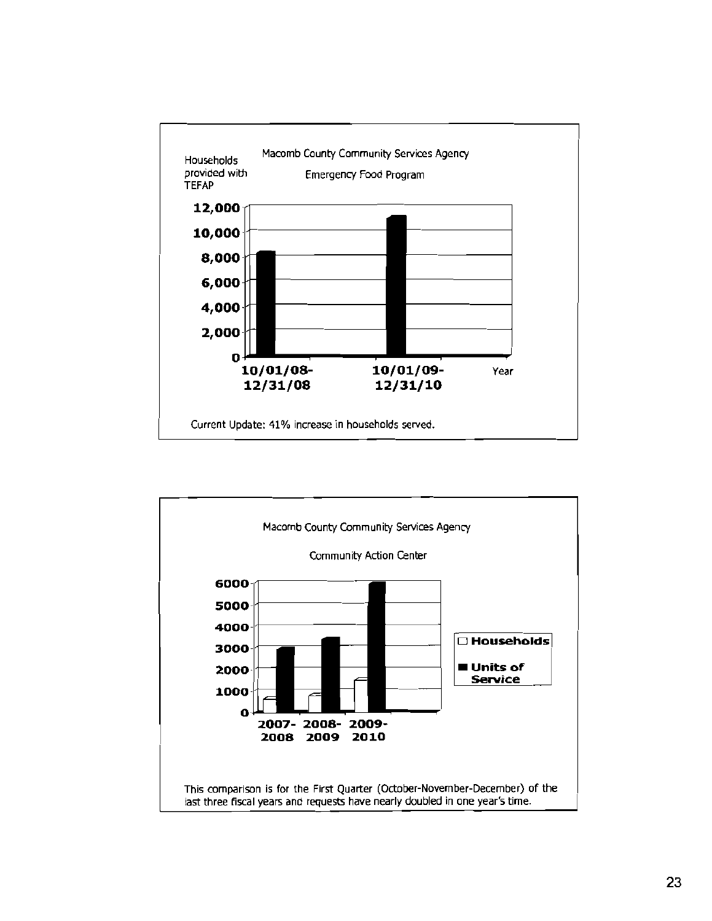

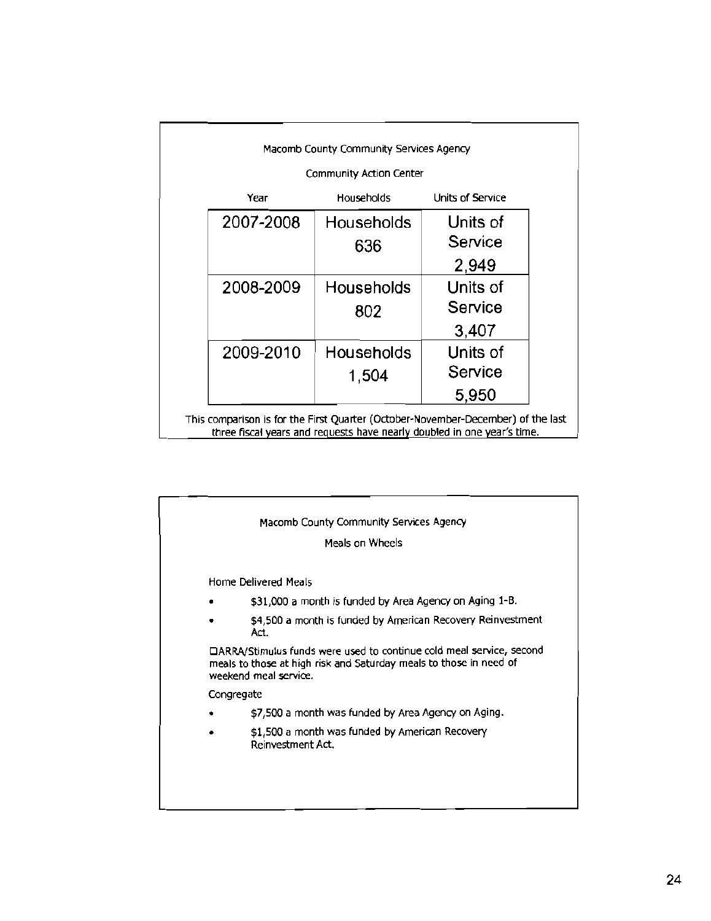| Community Action Center |                   |                  |
|-------------------------|-------------------|------------------|
| Year                    | <b>Households</b> | Units of Service |
| 2007-2008               | Households        | Units of         |
|                         | 636               | Service          |
|                         |                   | 2,949            |
| 2008-2009               | <b>Households</b> | Units of         |
|                         | 802               | Service          |
|                         |                   | 3,407            |
| 2009-2010               | <b>Households</b> | Units of         |
|                         | 1,504             | Service          |
|                         |                   | 5,950            |

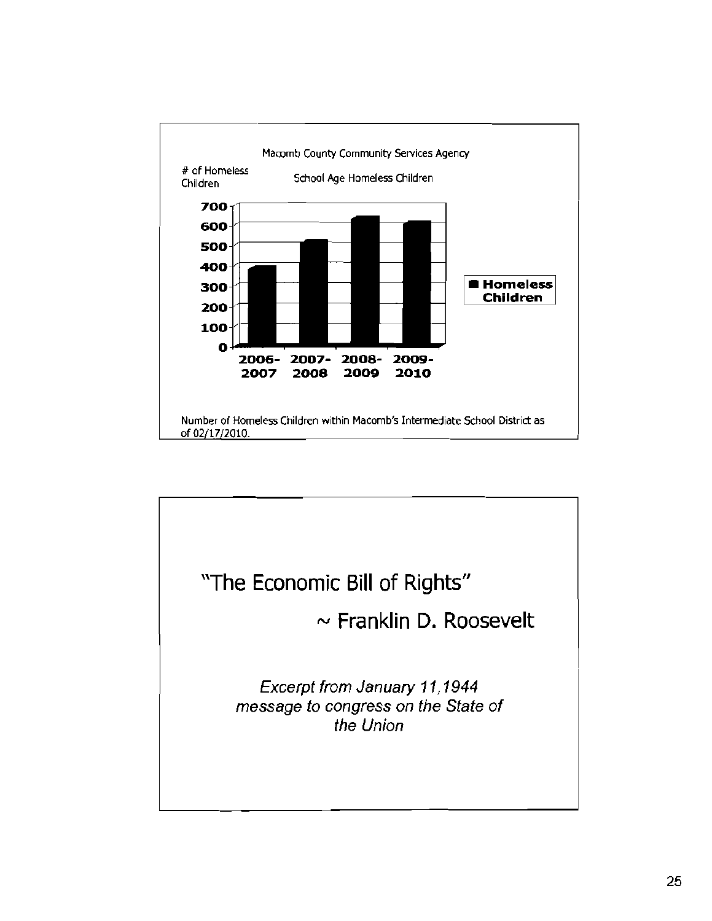

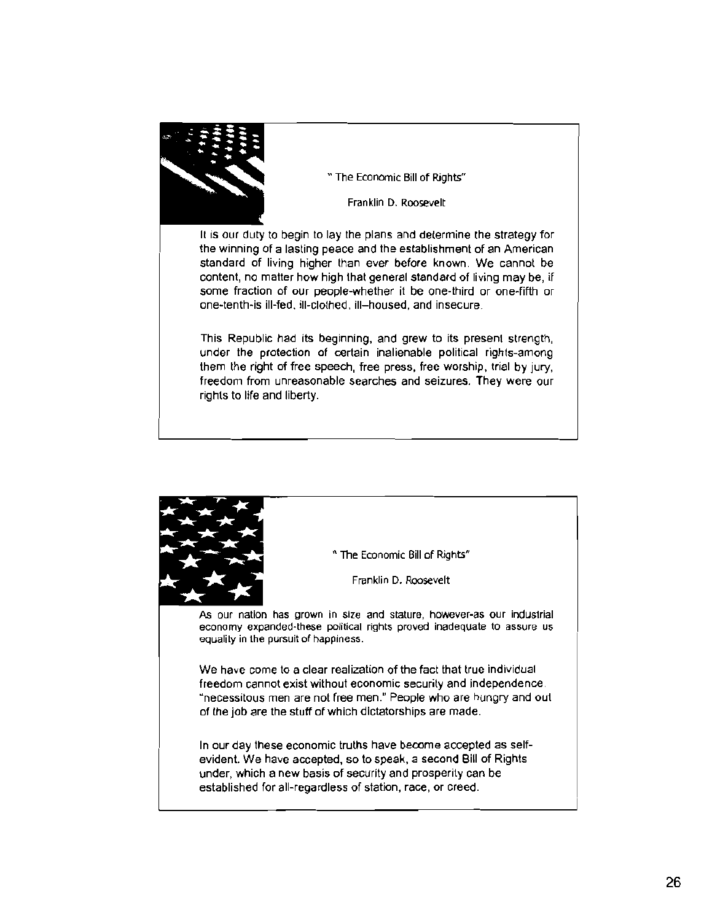

,~ " The Economic Bill of Rights"

Franklin D. Roosevelt

It is our duty to begin to lay the plans and determine the strategy for the winning of a lasting peace and the establishment of an American standard of living higher than ever before known. We cannot be content, no matter how high Ihat general standard of living may be, if some fraction of our people-whether it be one-third or one-fifth or one~tenth-is ill-fed, ill-clothed, ill-housed, and insecure.

This Republic had its beginning, and grew to its present strength, under the protection of certain inalienable political rights-among them the right of free speech, free press, free worship, trial by jury, freedom from unreasonable searches and seizures. They were our rights to life and liberty.

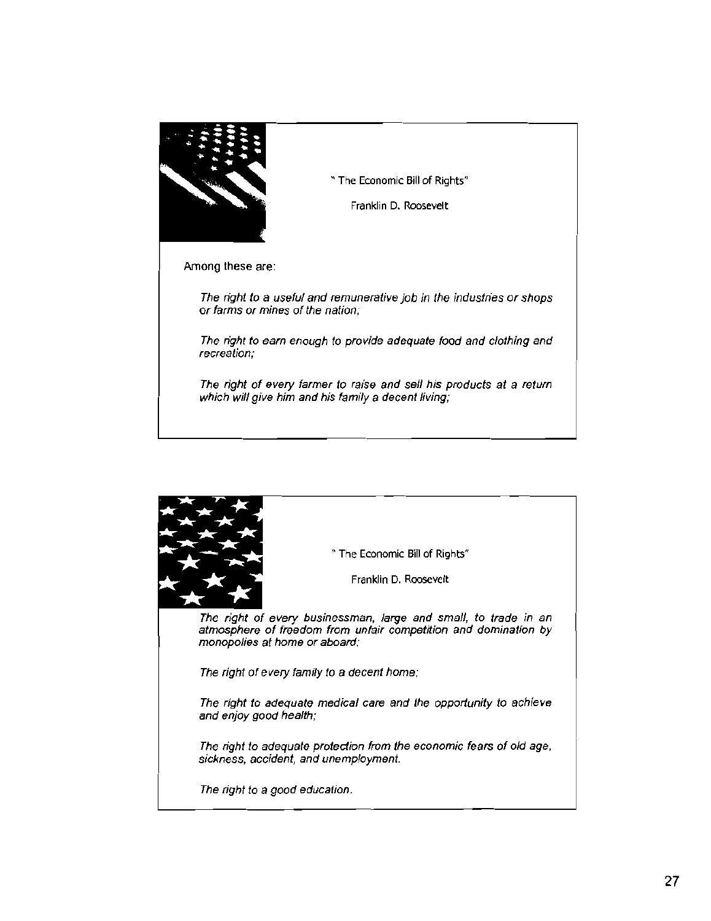

" The Economic Bill of Rights"

Franklin D. Roosevelt

Among these are:

The right to a useful and remunerative job in the industries or shops or farms or mines of the nation;

The right to earn enough to provide adequate food and clothing and recreation;

The right of every farmer to raise and sell his products at a return which will give him and his family a decent living;

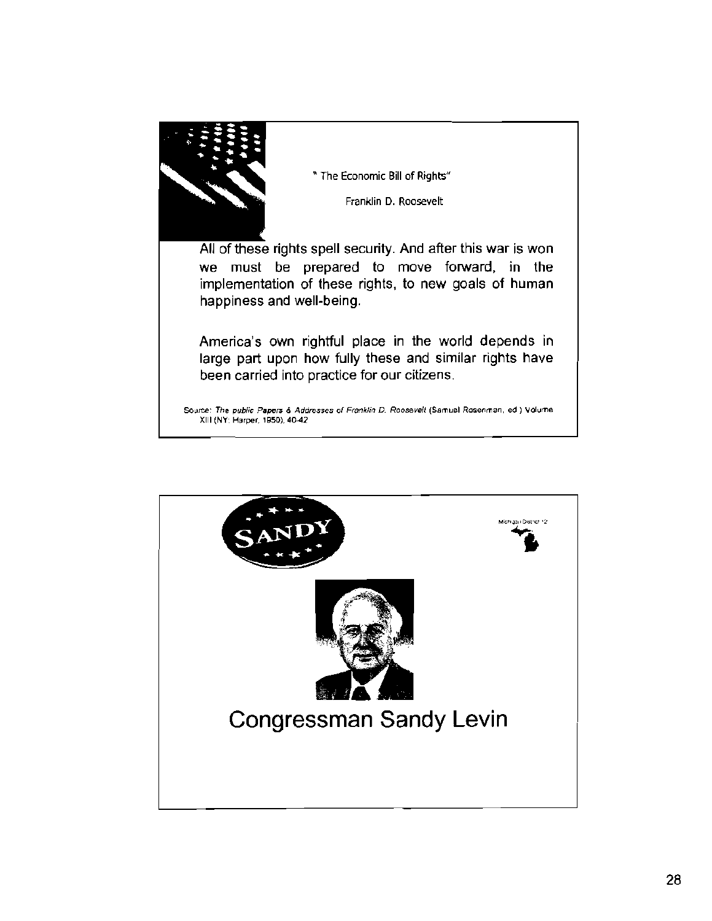

" The Economic Bill of Rights"

Franklin D. Roosevelt

All of these rights spell security. And after this war is won we must be prepared to move forward, in the implementation of these rights, to new goals of human happiness and well-being.

America's own rightful place in the world depends in large part upon how fully these and similar rights have been carried into practice for our citizens.

Source: The public Papers & Addresses of Franklin D. Roosevell (Samuel Rosenman, ed.) Volume XIII (NY: Harper, 1950), 40-42

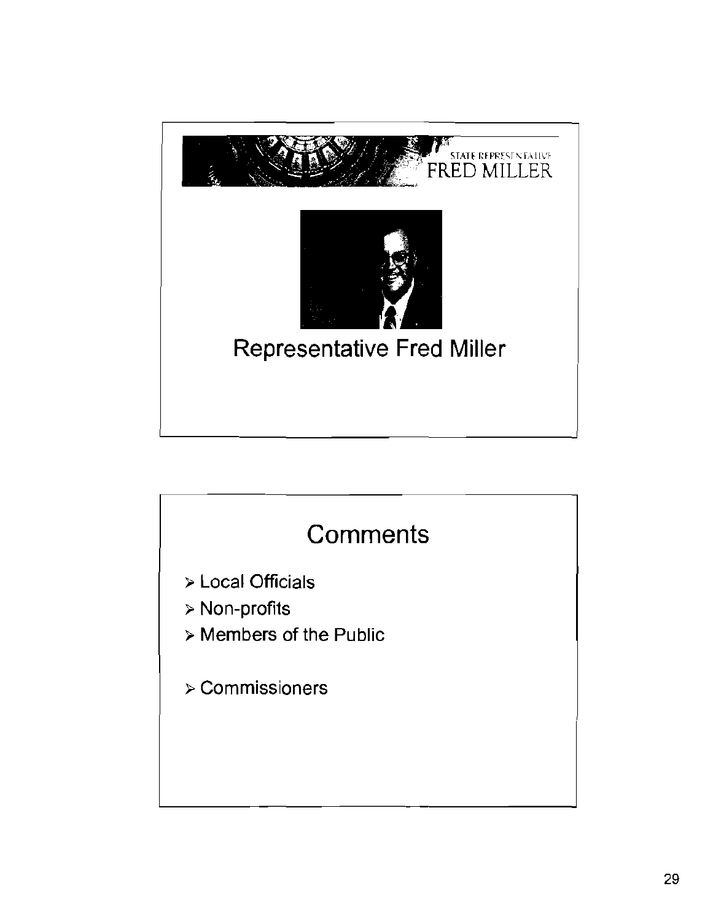

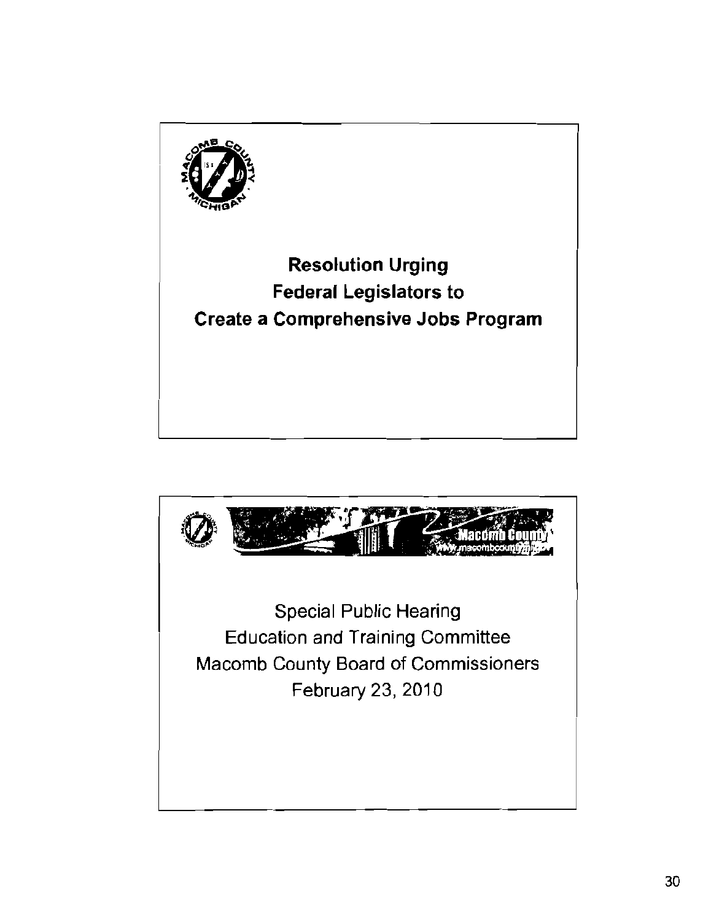

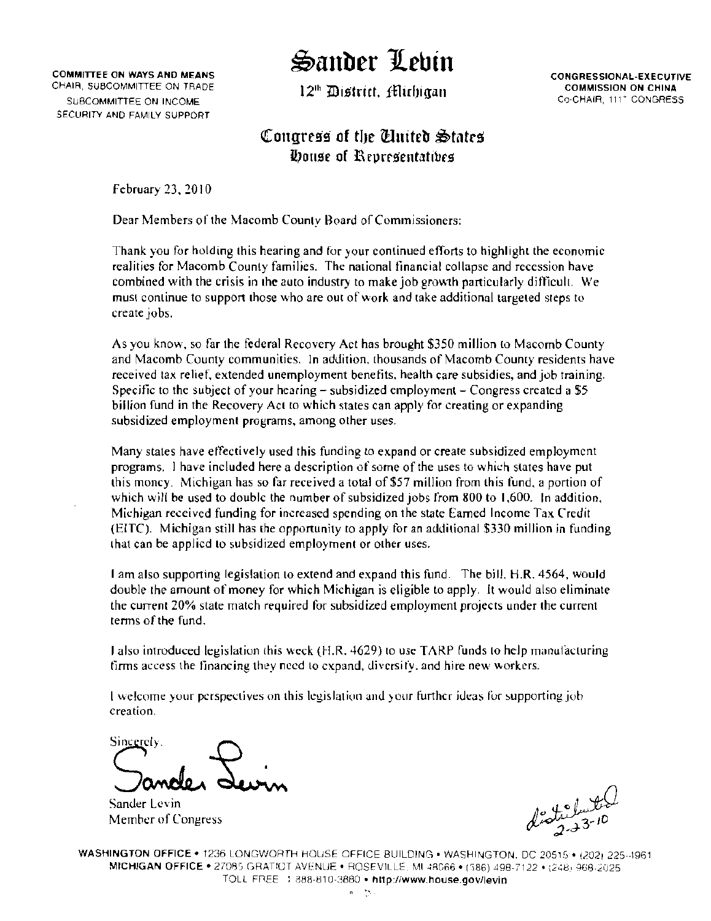### Sander Lehin

12<sup>th</sup> District. filirhiaan

**CONGRESSIONAL-EXECUTIVE COMMISSION ON CHINA** Co-CHAIR, 111" CONGRESS

#### Congress of the Cluited States Douse of Representatives

February 23, 2010

**COMMITTEE ON WAYS AND MEANS** 

CHAIR, SUBCOMMITTEE ON TRADE

SUBCOMMITTEE ON INCOME. SECURITY AND FAMILY SUPPORT

Dear Members of the Macomb County Board of Commissioners:

Thank you for holding this hearing and for your continued efforts to highlight the economic realities for Macomb County families. The national financial collapse and recession have combined with the crisis in the auto industry to make job growth particularly difficult. We must continue to support those who are out of work and take additional targeted steps to create jobs.

As you know, so far the federal Recovery Act has brought \$350 million to Macomb County and Macomb County communities. In addition, thousands of Macomb County residents have received tax relief, extended unemployment benefits, health care subsidies, and job training. Specific to the subject of your hearing  $-\tilde{\ }$  subsidized employment  $-\tilde{\ }$ Congress created a \$5 billion fund in the Recovery Act to which states can apply for creating or expanding subsidized employment programs, among other uses.

Many states have effectively used this funding to expand or create subsidized employment programs. I have included here a description of some of the uses to which states have put this money. Michigan has so far received a total of \$57 million from this fund, a portion of which will be used to double the number of subsidized jobs from 800 to 1,600. In addition, Michigan received funding for increased spending on the state Earned Income Tax Credit (EITC). Michigan still has the opportunity to apply for an additional \$330 million in funding that can be applied to subsidized employment or other uses.

1 am also supporting legislation to extend and expand this fund. The bill, H.R. 4564, would double the amount of money for which Michigan is eligible to apply. It would also eliminate the current 20% state match required for subsidized employment projects under the current terms of the fund.

Lalso introduced legislation this weck (H.R. 4629) to use TARP funds to help manufacturing firms access the financing they need to expand, diversify, and hire new workers.

I welcome your perspectives on this legislation and your further ideas for supporting job creation.

Sincerely,

Sander Levin Member of Congress

WASHINGTON OFFICE . 1236 LONGWORTH HOUSE OFFICE BUILDING . WASHINGTON, DC 20515 . (202) 225-1961 MICHIGAN OFFICE . 27085 GRATIOT AVENUE . ROSEVILLE, MI 48066 . (586) 498-7122 . (248) 968-2025 TOLL FREE : 888-810-3880 · http://www.house.gov/levin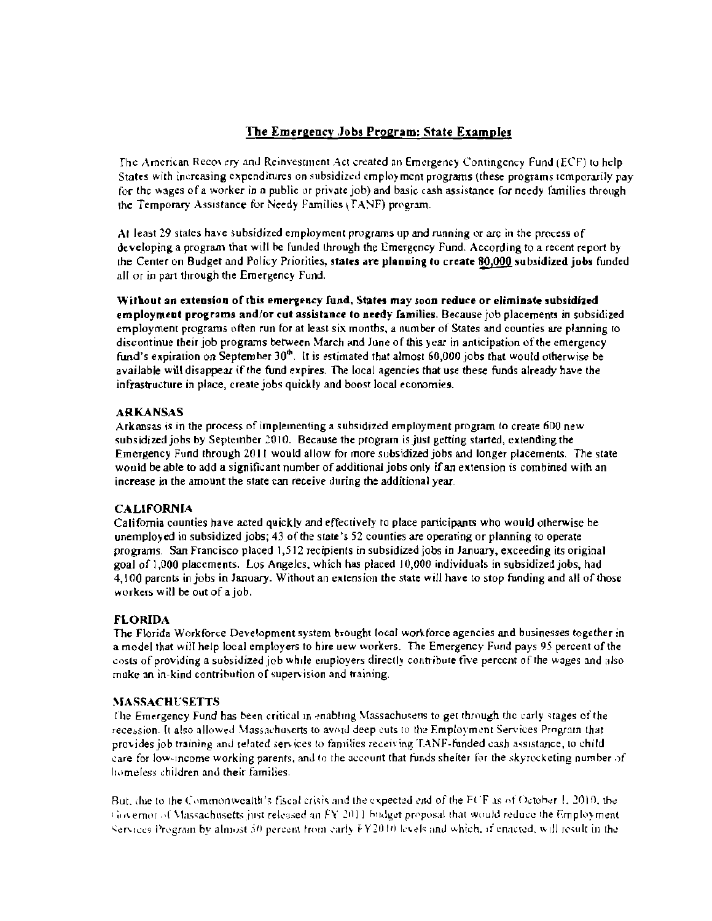#### The Emergency Jobs Program: State Examples

The American Recovery and Reinvestment Act created an Emergency Contingency Fund (ECF) to help States with increasing expenditures on subsidized employment programs (these programs temporarily pay for the wages of a worker in a public or private job) and basic cash assistance for needy families through the Temporary Assistance for Needy Families (TANF) program.

At least 29 states have subsidized employment programs up and running or are in the process of developing a program that will be funded through the Emergency Fund. According to a recent report by the Center on Budget and Policy Priorities, states are planning to create 80,000 subsidized jobs funded all or in part through the Emergency Fund.

Without an extension of this emergency fund, States may soon reduce or eliminate subsidized employment programs and/or cut assistance to needy families. Because job placements in subsidized employment programs often run for at least six months, a number of States and counties are planning to discontinue their job programs between March and June of this year in anticipation of the emergency fund's expiration on September 30<sup>th</sup>. It is estimated that almost 60,000 jobs that would otherwise be available will disappear if the fund expires. The local agencies that use these funds already have the infrastructure in place, create jobs quickly and boost local economies.

#### **ARKANSAS**

Arkansas is in the process of implementing a subsidized employment program to create 600 new subsidized jobs by September 2010. Because the program is just getting started, extending the Emergency Fund through 2011 would allow for more subsidized jobs and longer placements. The state would be able to add a significant number of additional jobs only if an extension is combined with an increase in the amount the state can receive during the additional year.

#### **CALIFORNIA**

California counties have acted quickly and effectively to place participants who would otherwise be unemployed in subsidized jobs; 43 of the state's 52 counties are operating or planning to operate programs. San Francisco placed 1,512 recipients in subsidized jobs in January, exceeding its original goal of 1,000 placements. Los Angeles, which has placed 10,000 individuals in subsidized jobs, had 4.100 parents in jobs in January. Without an extension the state will have to stop funding and all of those workers will be out of a job.

#### **FLORIDA**

The Florida Workforce Development system brought local workforce agencies and businesses together in a model that will help local employers to hire uew workers. The Emergency Fund pays 95 percent of the costs of providing a subsidized job while employers directly contribute five percent of the wages and also make an in-kind contribution of supervision and training.

#### **MASSACHUSETTS**

The Emergency Fund has been critical in enabling Massachusetts to get through the carly stages of the recession. It also allowed Massachusetts to avoid deep cuts to the Employment Services Program that provides job training and related services to families receiving TANF-funded cash assistance, to child care for low-income working parents, and to the account that funds shelter for the skyrocketing number of homeless children and their families.

But, the to the Commonwealth's fiscal crisis and the expected end of the FCF as of October 1, 2010, the Governor of Massachusetts just released an FY 2011 bildget proposal that would reduce the Employment Services Program by almost 50 percent from early FY2010 levels and which, if enacted, will result in the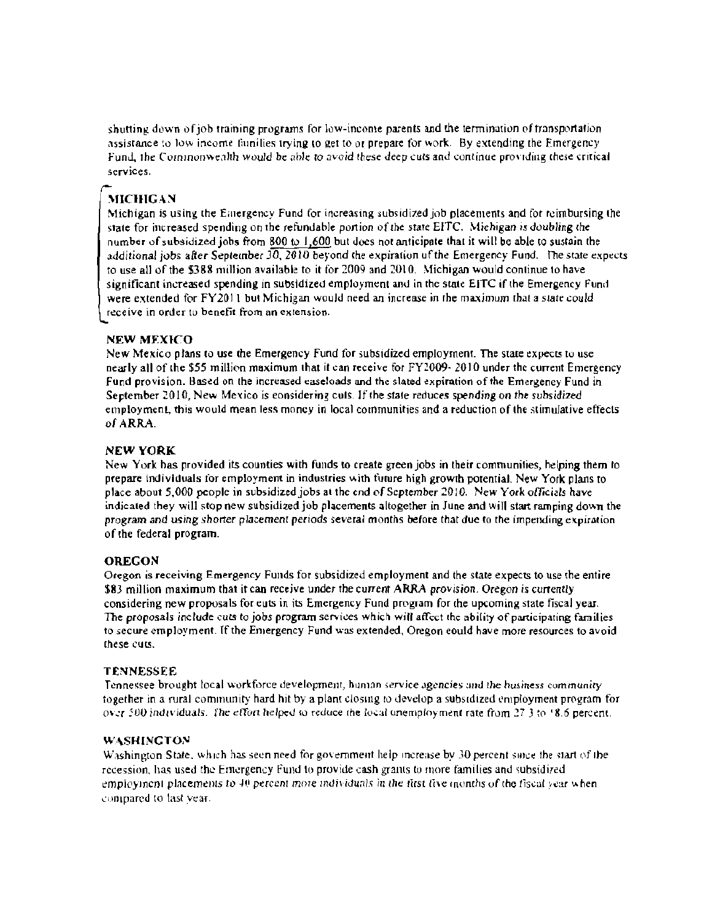shutting down of job training programs for low-income parents and the termination of transportation assistance to low income families trying to get to or prepare for work. By extending the Emergency Fund, the Commonwealth would be able to avoid these deep cuts and continue providing these critical services.

#### **MICHIGAN**

Michigan is using the Emergency Fund for increasing subsidized job placements and for reimbursing the state for increased spending on the refundable portion of the state EITC. Michigan is doubling the number of subsidized jobs from 800 to 1,600 but does not anticipate that it will be able to sustain the additional jobs after September  $30, 2010$  beyond the expiration of the Emergency Fund. The state expects to use all of the \$388 million available to it for 2009 and 2010. Michigan would continue to have significant increased spending in subsidized employment and in the state EITC if the Emergency Fund were extended for FY2011 but Michigan would need an increase in the maximum that a state could receive in order to benefit from an extension.

#### **NEW MEXICO**

New Mexico plans to use the Emergency Fund for subsidized employment. The state expects to use nearly all of the \$55 million maximum that it can receive for FY2009-2010 under the current Emergency Fund provision. Based on the increased easeloads and the slated expiration of the Emergeney Fund in September 2010, New Mexico is considering cuts. If the state reduces spending on the subsidized employment, this would mean less money in local communities and a reduction of the stimulative effects of ARRA.

#### **NEW YORK**

New York has provided its counties with funds to create green jobs in their communities, helping them to prepare individuals for employment in industries with future high growth potential. New York plans to place about 5,000 people in subsidized jobs at the end of September 2010. New York officials have indicated they will stop new subsidized job placements altogether in June and will start ramping down the program and using shorter placement periods several months before that due to the impending expiration of the federal program.

#### **OREGON**

Oregon is receiving Emergency Funds for subsidized employment and the state expects to use the entire \$83 million maximum that it can receive under the current ARRA provision. Oregon is currently considering new proposals for euts in its Emergency Fund program for the upcoming state fiscal year. The proposals include cuts to jobs program services which will affect the ability of participating families to secure employment. If the Emergency Fund was extended, Oregon eould have more resources to avoid these cuts.

#### **TENNESSEE**

Tennessee brought local workforce development, human service agencies and the husiness community together in a rural community hard hit by a plant closing to develop a subsidized employment program for over 500 individuals. The effort helped to reduce the local unemployment rate from 27.3 to 18.6 percent.

#### **WASHINGTON**

Washington State, which has seen need for government help increase by 30 percent since the start of the recession, has used the Emergency Fund to provide cash grants to more families and subsidized employment placements to  $40$  percent more individuals in the first five months of the fiscal year when compared to last year.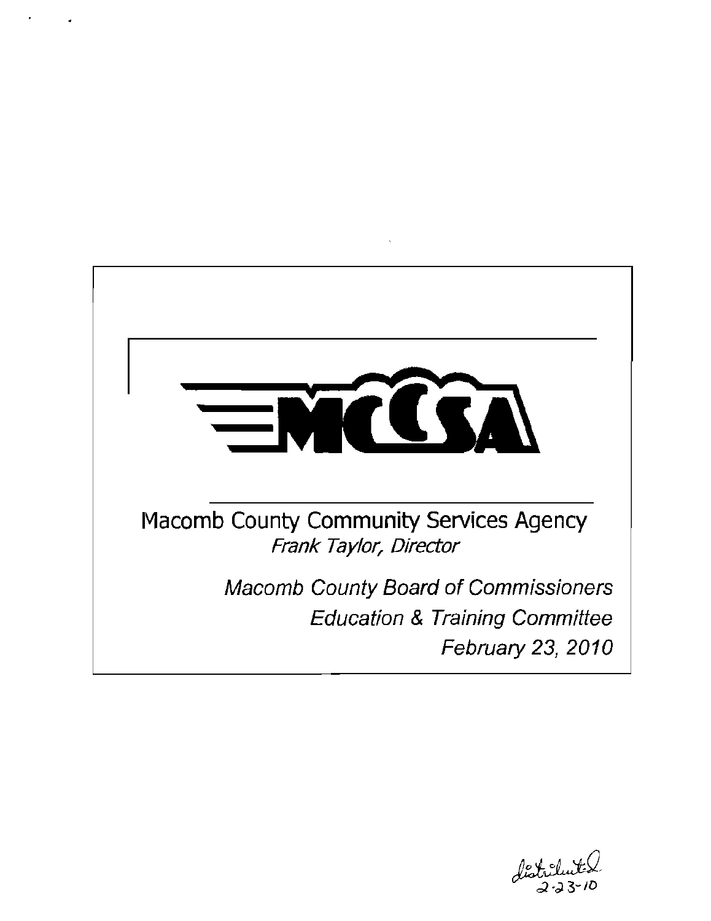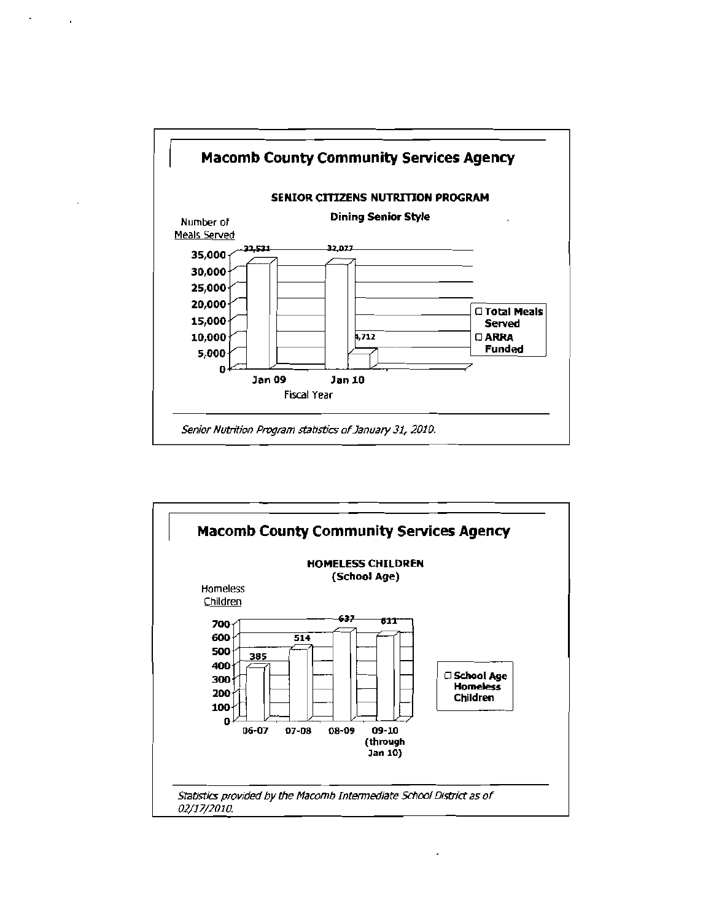

J.

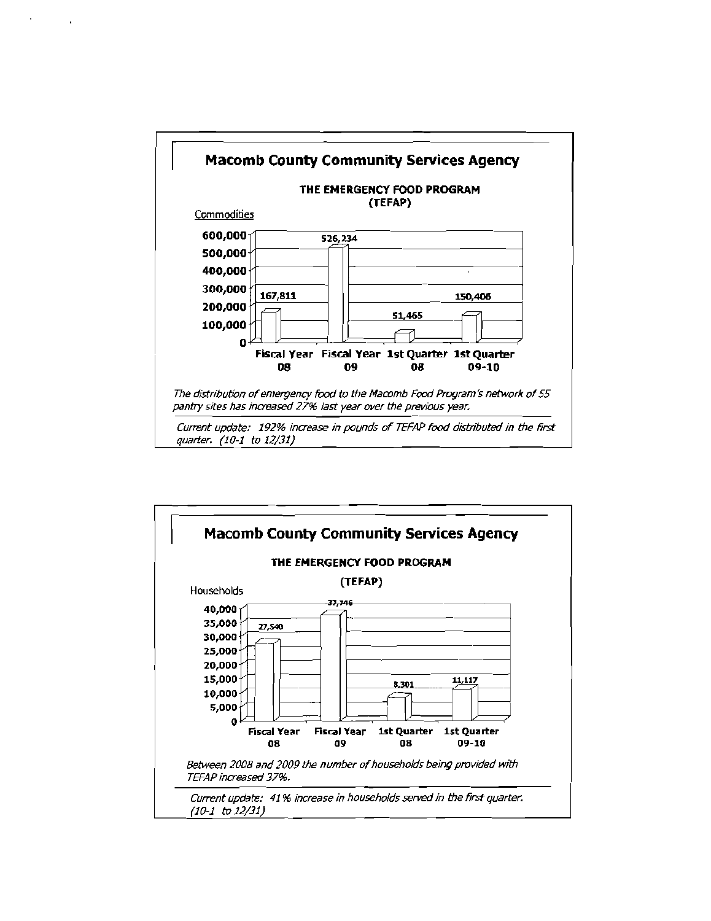

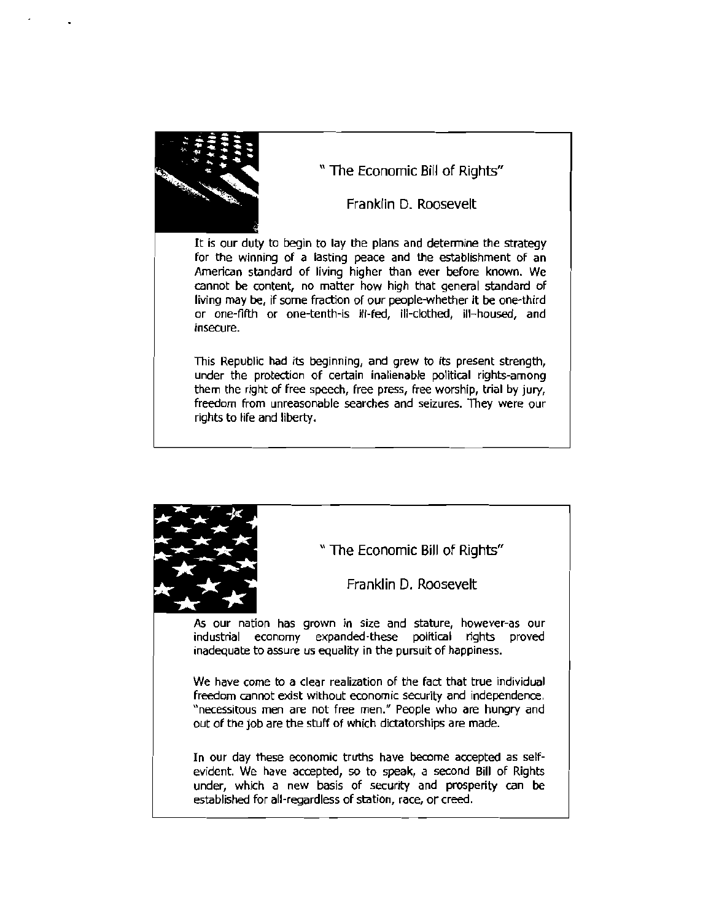

" The Economic Bill of Rights"

Franklin D. Roosevelt

It is our duty to begin to lay the plans and detennine the strategy for the winning of a lasting peace and the establishment of an American standard of living higher than ever before known. We cannot be content, no matter how high that general standard of living may be, If some fraction of our people-whether it be one~third or one-fifth or one-tenth-ls ill-fed, ill-clothed, ill-housed, and insecure.

This Republic had its beginning, and grew to its present strength, under the protection of certain inalienable political rights-among them the right of free speech, free press, free worship, trial by jury, freedom from unreasonable searches and seizures. They were our rights to life and liberty.



" The Economic Bill of Rights"

Franklin D. Roosevelt

As our nation has grown in size and stature, however-as our industrial economy expanded-these political rights proved inadequate to assure us equality in the pursuit of happiness.

We have come to a clear realization of the fact that true individual freedom cannot exist without economic security and independence. "necessitous men are not free men." People who are hungry and out of the job are the stuff of which dictatorships are made.

In our day these economic truths have become accepted as selfevident. We have accepted, so to speak, a second Bill of Rights under, which a new basis of security and prosperity can be established for all-regardless of station, race, or creed.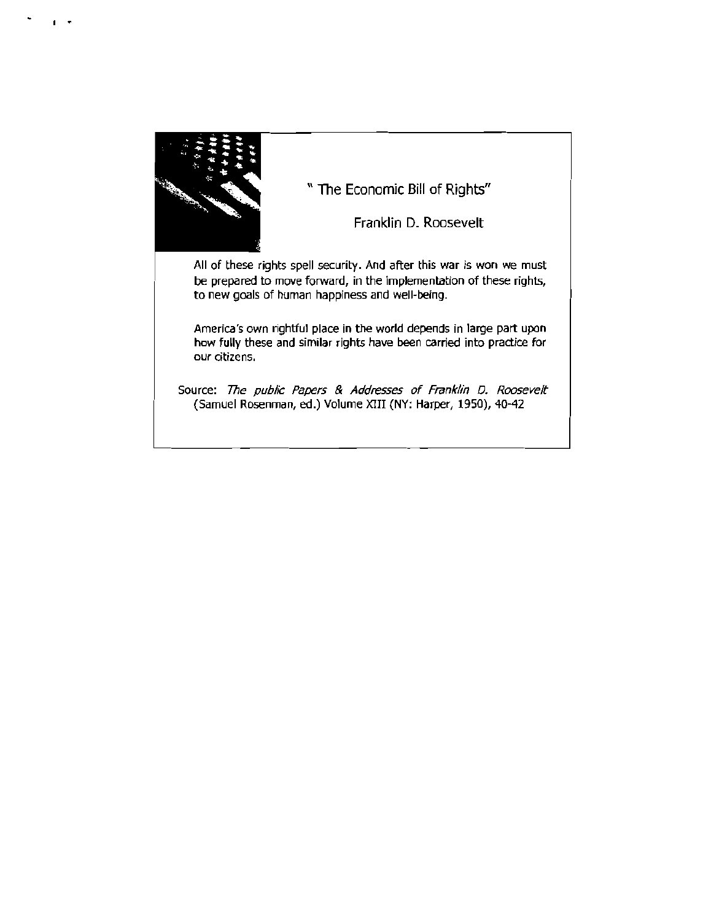

, .

" The Economic Bill of Rights"

Franklin D. Roosevelt

All of these rights spell security. And after this war is won we must be prepared to move forward, in the implementation of these rights, to new goals of human happiness and well-being.

America's own rightful place in the world depends in large part upon how fully these and similar rights have been carried into practice for our citizens.

Source: The public Papers & Addresses of Franklin D. Roosevelt (Samuel Rosenman, ed.) Volume XIII (NY: Harper, 1950), 40-42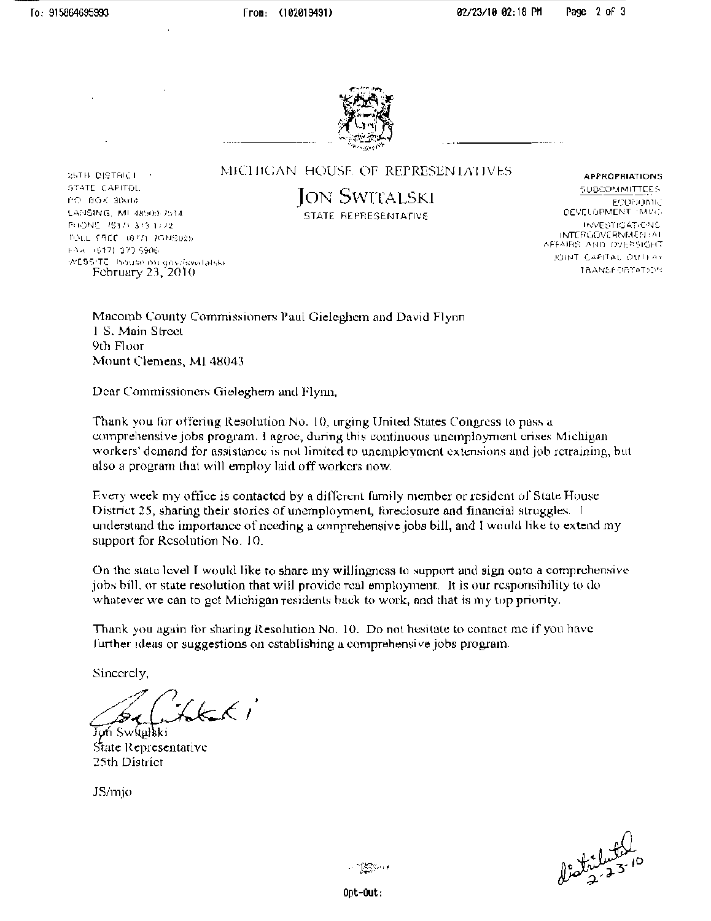25TH DISTRICT

STATE CAPITOL

PO BOX 30018

LANSING, MI 48909-7514

TOILE FACE (877) JONS02b

WEBSITE: Inquise milligrov/jsvetalski

February  $23,2010$ 

PHONE (1517) 373 1772

FAA (617) 373-5906



MICHIGAN HOUSE OF REPRESENTATIVES

**JON SWITALSKI** STATE REPRESENTATIVE

**APPROPRIATIONS** SUBCOMMITTEES ECONOMIC DEVELOPMENT IMVOL INVESTIGATIONS. INTERGOVERNMENTAL AFFAIRS AND OVERSIGNT JOINT CAPITAL OUTLAY TRANSPORTATION

Macomb County Commissioners Paul Gieleghem and David Flynn 1 S. Main Street 9th Floor Mount Clemens, MI 48043

Dear Commissioners Gieleghem and Flynn,

Thank you for offering Resolution No. 10, urging United States Congress to pass a comprehensive jobs program. I agroc, during this continuous unemployment crises Michigan workers' demand for assistance is not limited to unemployment extensions and job retraining, but also a program that will employ laid off workers now.

Every week my office is contacted by a different family member or resident of State House District 25, sharing their stories of unemployment, foreclosure and financial struggles. I understand the importance of needing a comprehensive jobs bill, and I would like to extend my support for Resolution No. 10.

On the state level I would like to share my willingness to support and sign onto a comprehensive jobs bill, or state resolution that will provide real employment. It is our responsibility to do whatever we can to get Michigan residents back to work, and that is my top priority.

Thank you again for sharing Resolution No. 10. Do not hesitate to contact me if you have further ideas or suggestions on establishing a comprehensive jobs program.

Sincercly,

 $2k\epsilon_1$ Joh Swkalkki

State Representative 25th District

JS/mjo



Opt-Out: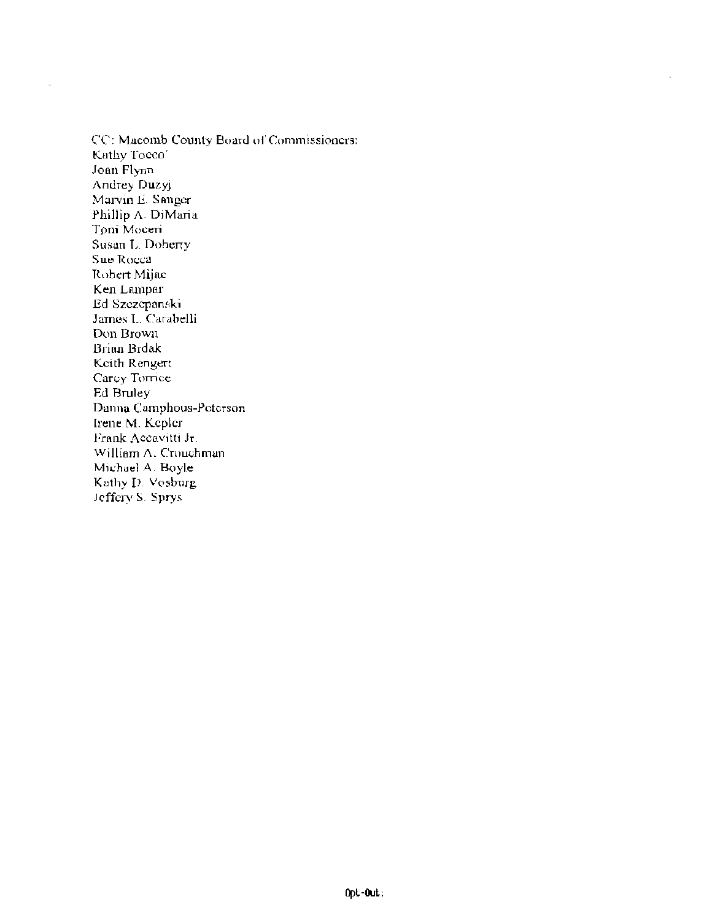CC: Macomb County Board of Commissioners: Kathy Tocco<sup>®</sup> Joan Flynn Andrey Duzyj Marvin E. Sauger Phillip A. DiMaria Toni Moceri Susan L. Doherry Sue Rocca Robert Mijac Ken Lampar Ed Szezepanski James L. Carabelli Don Brown Brian Brdak Keith Rengert Carey Torrice Ed Bruley Danna Camphous-Peterson Irene M. Kepler Frank Accavitti Jr. William A. Crouchman Michael A. Boyle Kathy D. Vosburg Jeffery S. Sprys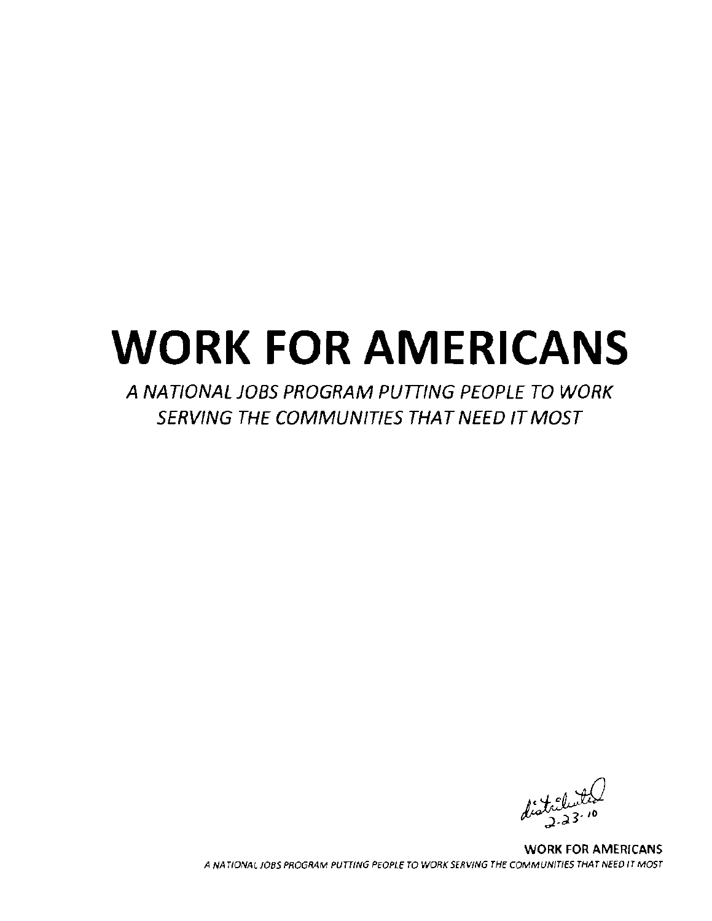# **WORK FOR AMERICANS**

A NATIONAL JOBS PROGRAM PUTTING PEOPLE TO WORK SERVING THE COMMUNITIES THAT NEED IT MOST

WORK FOR AMERICANS ANA TlONALJOBS PROGRAM PUTTING PEOPLE TO WORK SERVING THE COMMUNITIES THAT NEED IT MOST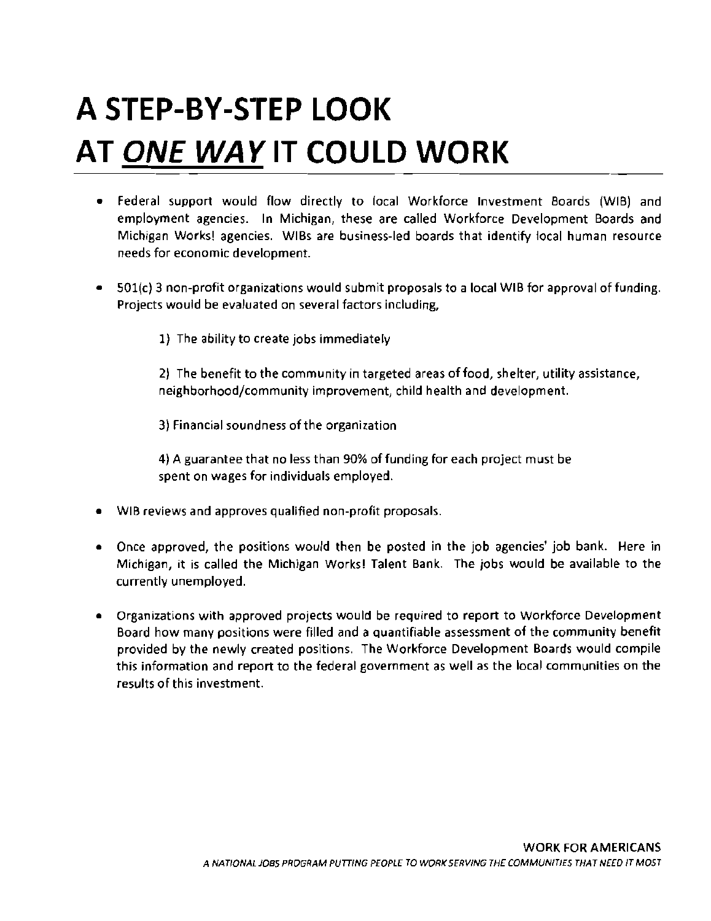## **A STEP-BY-STEP LOOK AT ONE WAYIT COULD WORK**

- • Federal support would flow directly to focal Workforce Investment Boards (WIB) and employment agencies. In Michigan, these are called Workforce Development Boards and Michigan Works! agencies. WIBs are business-led boards that identify local human resource needs for economic development.
- $\bullet$  501(c) 3 non-profit organizations would submit proposals to a local WIB for approval of funding. Projects would be evaluated on several factors including,
	- 1) The ability to create jobs immediately

2) The benefit to the community in targeted areas of food, shelter, utility assistance, neighborhood/community improvement, child health and development.

3) Financial soundness ofthe organization

4) A guarantee that no less than 90% of funding for each project must be spent on wages for individuals employed.

- • WIB reviews and approves qualified non-profit proposals.
- • Once approved, the positions would then be posted in the job agencies' job bank. Here in Michigan, it is called the Michigan Works! Talent Bank. The jobs would be available to the currently unemployed.
- • Organizations with approved projects would be required to report to Workforce Development Board how many positions were filled and a quantifiable assessment of the community benefit provided by the newly created positions. The Workforce Development Boards would compile this information and report to the federal government as well as the local communities on the results of this investment.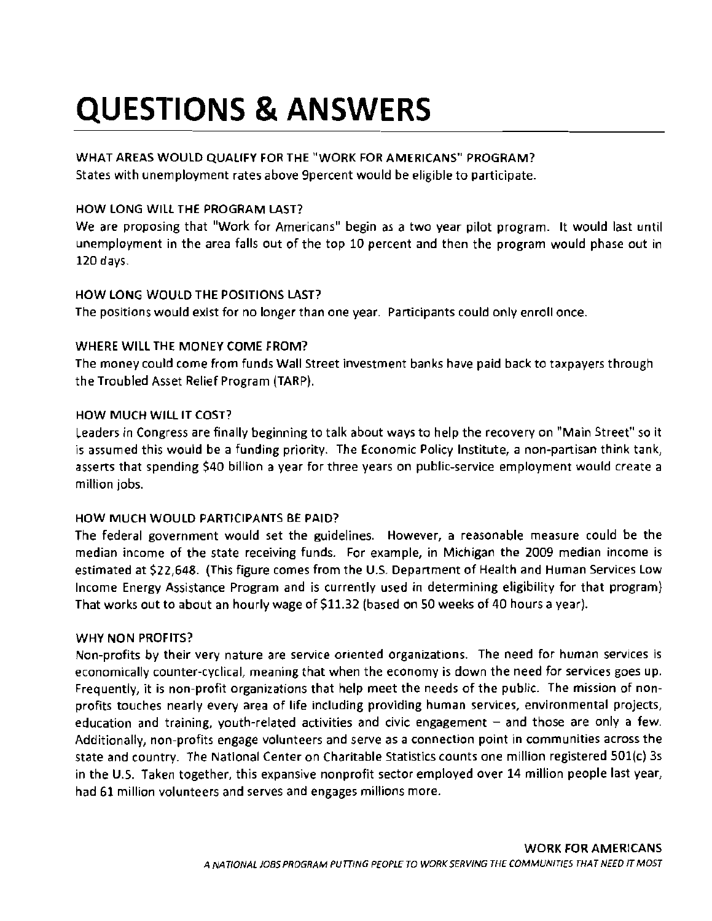## **QUESTIONS & ANSWERS**

#### WHAT AREAS WOULD QUALIFY FOR THE "WORK FOR AMERICANS" PROGRAM?

States with unemployment rates above 9percent would be eligible to participate.

#### HOW LONG WILL THE PROGRAM LAST?

We are proposing that "Work for Americans" begin as a two year pilot program. It would last until unemployment in the area falls out of the top 10 percent and then the program would phase out in 120 days.

#### HOW LONG WOULD THE POSITIONS LAST?

The positions would exist for no longer than one year. Participants could only enroll once.

#### WHERE WILL THE MONEY COME FROM?

The money could come from funds Wall Street investment banks have paid back to taxpayers through the Troubled Asset Relief Program (TARP).

#### HOW MUCH WILL IT COST?

Leaders in Congress are finally beginning to talk about ways to help the recovery on "Main Street" so it is assumed this would be a funding priority. The Economic Policy Institute, a non-partisan think tank, asserts that spending \$40 billion a year for three years on public-service employment would create a million jobs.

#### HOW MUCH WOULD PARTICIPANTS BE PAID?

The federal government would set the guidelines. However, a reasonable measure could be the median income of the state receiving funds. For example, in Michigan the 2009 median income is estimated at \$22,648. (This figure comes from the U.S. Department of Health and Human Services Low Income Energy Assistance Program and is currently used in determining eligibility for that program) That works aut to about an hourly wage of \$11.32 (based on 50 weeks of 40 hours a year).

#### WHY NON PROFITS?

Non-profits by their very nature are service oriented organizations. The need for human services is economically counter-cyclical, meaning that when the economy is down the need for services goes up. Frequently, it is non-profit organizations that help meet the needs of the public. The mission of non profits touches nearly every area of life including providing human services, environmental projects, education and training, youth-related activities and civic engagement – and those are only a few. Additionally, non-profits engage volunteers and serve as a connection point in communities across the state and country. The National Center on Charitable Statistics counts one million registered 501 (c) 3s in the U.S. Taken together, this expansive nonprofit sector employed over 14 million people last year, had 61 million volunteers and serves and engages millions more.